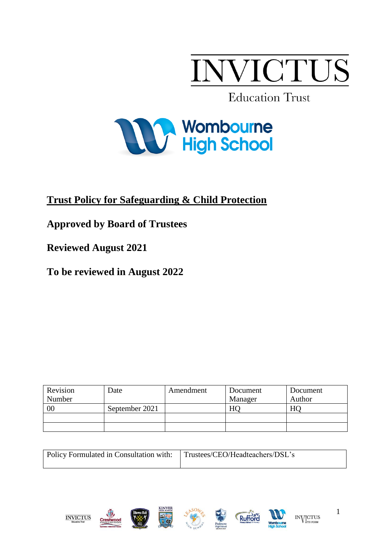

**Education Trust** 



# **Trust Policy for Safeguarding & Child Protection**

**Approved by Board of Trustees**

**Reviewed August 2021**

**To be reviewed in August 2022**

| Revision | Date           | Amendment | Document | Document |
|----------|----------------|-----------|----------|----------|
| Number   |                |           | Manager  | Author   |
| 00       | September 2021 |           | HO       | HC       |
|          |                |           |          |          |
|          |                |           |          |          |

| Policy Formulated in Consultation with: Trustees/CEO/Headteachers/DSL's |  |  |
|-------------------------------------------------------------------------|--|--|
|                                                                         |  |  |











1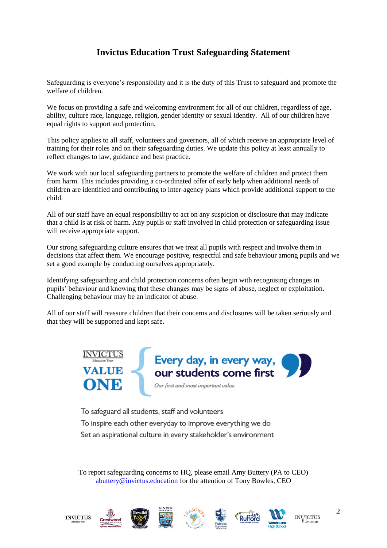# **Invictus Education Trust Safeguarding Statement**

Safeguarding is everyone's responsibility and it is the duty of this Trust to safeguard and promote the welfare of children.

We focus on providing a safe and welcoming environment for all of our children, regardless of age, ability, culture race, language, religion, gender identity or sexual identity. All of our children have equal rights to support and protection.

This policy applies to all staff, volunteers and governors, all of which receive an appropriate level of training for their roles and on their safeguarding duties. We update this policy at least annually to reflect changes to law, guidance and best practice.

We work with our local safeguarding partners to promote the welfare of children and protect them from harm. This includes providing a co-ordinated offer of early help when additional needs of children are identified and contributing to inter-agency plans which provide additional support to the child.

All of our staff have an equal responsibility to act on any suspicion or disclosure that may indicate that a child is at risk of harm. Any pupils or staff involved in child protection or safeguarding issue will receive appropriate support.

Our strong safeguarding culture ensures that we treat all pupils with respect and involve them in decisions that affect them. We encourage positive, respectful and safe behaviour among pupils and we set a good example by conducting ourselves appropriately.

Identifying safeguarding and child protection concerns often begin with recognising changes in pupils' behaviour and knowing that these changes may be signs of abuse, neglect or exploitation. Challenging behaviour may be an indicator of abuse.

All of our staff will reassure children that their concerns and disclosures will be taken seriously and that they will be supported and kept safe.



To safeguard all students, staff and volunteers To inspire each other everyday to improve everything we do Set an aspirational culture in every stakeholder's environment

To report safeguarding concerns to HQ, please email Amy Buttery (PA to CEO) [abuttery@invictus.education](mailto:abuttery@invictus.education) for the attention of Tony Bowles, CEO











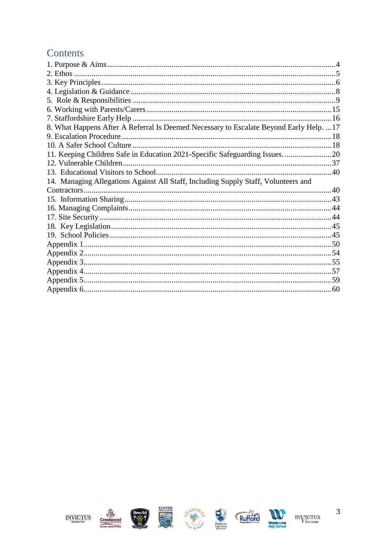# Contents

| 8. What Happens After A Referral Is Deemed Necessary to Escalate Beyond Early Help.  17<br>12. Vulnerable Children<br>14. Managing Allegations Against All Staff, Including Supply Staff, Volunteers and |  |
|----------------------------------------------------------------------------------------------------------------------------------------------------------------------------------------------------------|--|
|                                                                                                                                                                                                          |  |
|                                                                                                                                                                                                          |  |
|                                                                                                                                                                                                          |  |
|                                                                                                                                                                                                          |  |
|                                                                                                                                                                                                          |  |
|                                                                                                                                                                                                          |  |
|                                                                                                                                                                                                          |  |
|                                                                                                                                                                                                          |  |
|                                                                                                                                                                                                          |  |
|                                                                                                                                                                                                          |  |
|                                                                                                                                                                                                          |  |
|                                                                                                                                                                                                          |  |
|                                                                                                                                                                                                          |  |
|                                                                                                                                                                                                          |  |
|                                                                                                                                                                                                          |  |
|                                                                                                                                                                                                          |  |
|                                                                                                                                                                                                          |  |
|                                                                                                                                                                                                          |  |
|                                                                                                                                                                                                          |  |
|                                                                                                                                                                                                          |  |
|                                                                                                                                                                                                          |  |
|                                                                                                                                                                                                          |  |
|                                                                                                                                                                                                          |  |
|                                                                                                                                                                                                          |  |
|                                                                                                                                                                                                          |  |













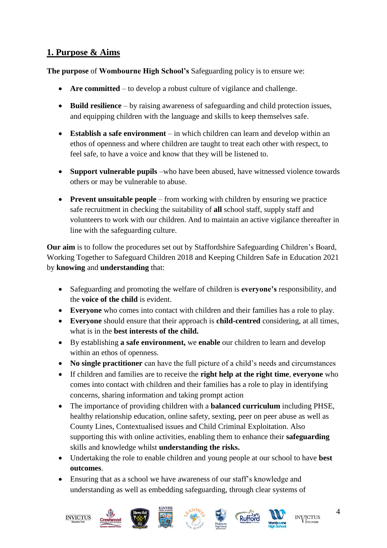# <span id="page-3-0"></span>**1. Purpose & Aims**

**The purpose** of **Wombourne High School's** Safeguarding policy is to ensure we:

- **Are committed** to develop a robust culture of vigilance and challenge.
- **Build resilience**  by raising awareness of safeguarding and child protection issues, and equipping children with the language and skills to keep themselves safe.
- **Establish a safe environment**  in which children can learn and develop within an ethos of openness and where children are taught to treat each other with respect, to feel safe, to have a voice and know that they will be listened to.
- **Support vulnerable pupils** –who have been abused, have witnessed violence towards others or may be vulnerable to abuse.
- **Prevent unsuitable people** from working with children by ensuring we practice safe recruitment in checking the suitability of **all** school staff, supply staff and volunteers to work with our children. And to maintain an active vigilance thereafter in line with the safeguarding culture.

**Our aim** is to follow the procedures set out by Staffordshire Safeguarding Children's Board, Working Together to Safeguard Children 2018 and Keeping Children Safe in Education 2021 by **knowing** and **understanding** that:

- Safeguarding and promoting the welfare of children is **everyone's** responsibility, and the **voice of the child** is evident.
- **Everyone** who comes into contact with children and their families has a role to play.
- **Everyone** should ensure that their approach is **child-centred** considering, at all times, what is in the **best interests of the child.**
- By establishing **a safe environment,** we **enable** our children to learn and develop within an ethos of openness.
- **No single practitioner** can have the full picture of a child's needs and circumstances
- If children and families are to receive the **right help at the right time**, **everyone** who comes into contact with children and their families has a role to play in identifying concerns, sharing information and taking prompt action
- The importance of providing children with a **balanced curriculum** including PHSE, healthy relationship education, online safety, sexting, peer on peer abuse as well as County Lines, Contextualised issues and Child Criminal Exploitation. Also supporting this with online activities, enabling them to enhance their **safeguarding**  skills and knowledge whilst **understanding the risks.**
- Undertaking the role to enable children and young people at our school to have **best outcomes**.
- Ensuring that as a school we have awareness of our staff's knowledge and understanding as well as embedding safeguarding, through clear systems of











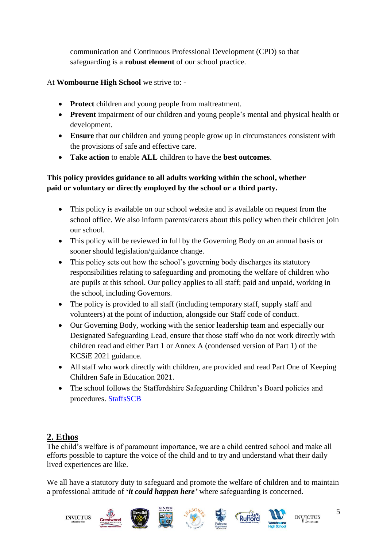communication and Continuous Professional Development (CPD) so that safeguarding is a **robust element** of our school practice.

## At **Wombourne High School** we strive to: -

- **Protect** children and young people from maltreatment.
- **Prevent** impairment of our children and young people's mental and physical health or development.
- **Ensure** that our children and young people grow up in circumstances consistent with the provisions of safe and effective care.
- **Take action** to enable **ALL** children to have the **best outcomes**.

## **This policy provides guidance to all adults working within the school, whether paid or voluntary or directly employed by the school or a third party.**

- This policy is available on our school website and is available on request from the school office. We also inform parents/carers about this policy when their children join our school.
- This policy will be reviewed in full by the Governing Body on an annual basis or sooner should legislation/guidance change.
- This policy sets out how the school's governing body discharges its statutory responsibilities relating to safeguarding and promoting the welfare of children who are pupils at this school. Our policy applies to all staff; paid and unpaid, working in the school, including Governors.
- The policy is provided to all staff (including temporary staff, supply staff and volunteers) at the point of induction, alongside our Staff code of conduct.
- Our Governing Body, working with the senior leadership team and especially our Designated Safeguarding Lead, ensure that those staff who do not work directly with children read and either Part 1 or Annex A (condensed version of Part 1) of the KCSiE 2021 guidance.
- All staff who work directly with children, are provided and read Part One of Keeping Children Safe in Education 2021.
- The school follows the Staffordshire Safeguarding Children's Board policies and procedures. [StaffsSCB](https://www.staffsscb.org.uk/)

# <span id="page-4-0"></span>**2. Ethos**

The child's welfare is of paramount importance, we are a child centred school and make all efforts possible to capture the voice of the child and to try and understand what their daily lived experiences are like.

We all have a statutory duty to safeguard and promote the welfare of children and to maintain a professional attitude of **'***it could happen here'* where safeguarding is concerned.

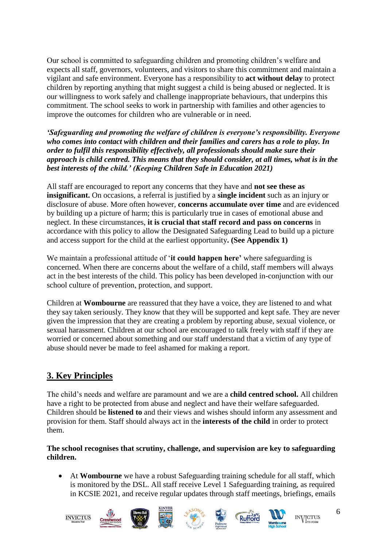Our school is committed to safeguarding children and promoting children's welfare and expects all staff, governors, volunteers, and visitors to share this commitment and maintain a vigilant and safe environment. Everyone has a responsibility to **act without delay** to protect children by reporting anything that might suggest a child is being abused or neglected. It is our willingness to work safely and challenge inappropriate behaviours, that underpins this commitment. The school seeks to work in partnership with families and other agencies to improve the outcomes for children who are vulnerable or in need.

*'Safeguarding and promoting the welfare of children is everyone's responsibility. Everyone who comes into contact with children and their families and carers has a role to play. In order to fulfil this responsibility effectively, all professionals should make sure their approach is child centred. This means that they should consider, at all times, what is in the best interests of the child.' (Keeping Children Safe in Education 2021)* 

All staff are encouraged to report any concerns that they have and **not see these as insignificant.** On occasions, a referral is justified by a **single incident** such as an injury or disclosure of abuse. More often however, **concerns accumulate over time** and are evidenced by building up a picture of harm; this is particularly true in cases of emotional abuse and neglect. In these circumstances, **it is crucial that staff record and pass on concerns** in accordance with this policy to allow the Designated Safeguarding Lead to build up a picture and access support for the child at the earliest opportunity**. (See Appendix 1)**

We maintain a professional attitude of '**it could happen here'** where safeguarding is concerned. When there are concerns about the welfare of a child, staff members will always act in the best interests of the child. This policy has been developed in-conjunction with our school culture of prevention, protection, and support.

Children at **Wombourne** are reassured that they have a voice, they are listened to and what they say taken seriously. They know that they will be supported and kept safe. They are never given the impression that they are creating a problem by reporting abuse, sexual violence, or sexual harassment. Children at our school are encouraged to talk freely with staff if they are worried or concerned about something and our staff understand that a victim of any type of abuse should never be made to feel ashamed for making a report.

# <span id="page-5-0"></span>**3. Key Principles**

The child's needs and welfare are paramount and we are a **child centred school.** All children have a right to be protected from abuse and neglect and have their welfare safeguarded. Children should be **listened to** and their views and wishes should inform any assessment and provision for them. Staff should always act in the **interests of the child** in order to protect them.

#### **The school recognises that scrutiny, challenge, and supervision are key to safeguarding children.**

• At **Wombourne** we have a robust Safeguarding training schedule for all staff, which is monitored by the DSL. All staff receive Level 1 Safeguarding training, as required in KCSIE 2021, and receive regular updates through staff meetings, briefings, emails

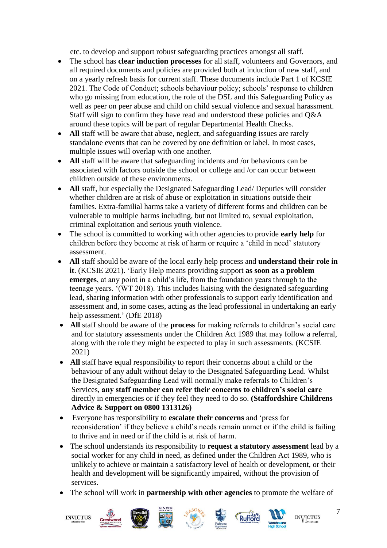etc. to develop and support robust safeguarding practices amongst all staff.

- The school has **clear induction processes** for all staff, volunteers and Governors, and all required documents and policies are provided both at induction of new staff, and on a yearly refresh basis for current staff. These documents include Part 1 of KCSIE 2021. The Code of Conduct; schools behaviour policy; schools' response to children who go missing from education, the role of the DSL and this Safeguarding Policy as well as peer on peer abuse and child on child sexual violence and sexual harassment. Staff will sign to confirm they have read and understood these policies and Q&A around these topics will be part of regular Departmental Health Checks.
- All staff will be aware that abuse, neglect, and safeguarding issues are rarely standalone events that can be covered by one definition or label. In most cases, multiple issues will overlap with one another.
- **All** staff will be aware that safeguarding incidents and /or behaviours can be associated with factors outside the school or college and /or can occur between children outside of these environments.
- **All** staff, but especially the Designated Safeguarding Lead/ Deputies will consider whether children are at risk of abuse or exploitation in situations outside their families. Extra-familial harms take a variety of different forms and children can be vulnerable to multiple harms including, but not limited to, sexual exploitation, criminal exploitation and serious youth violence.
- The school is committed to working with other agencies to provide **early help** for children before they become at risk of harm or require a 'child in need' statutory assessment.
- **All** staff should be aware of the local early help process and **understand their role in it**. (KCSIE 2021). 'Early Help means providing support **as soon as a problem emerges**, at any point in a child's life, from the foundation years through to the teenage years. '(WT 2018). This includes liaising with the designated safeguarding lead, sharing information with other professionals to support early identification and assessment and, in some cases, acting as the lead professional in undertaking an early help assessment.' (DfE 2018)
- **All** staff should be aware of the **process** for making referrals to children's social care and for statutory assessments under the Children Act 1989 that may follow a referral, along with the role they might be expected to play in such assessments. (KCSIE 2021)
- All staff have equal responsibility to report their concerns about a child or the behaviour of any adult without delay to the Designated Safeguarding Lead. Whilst the Designated Safeguarding Lead will normally make referrals to Children's Services, **any staff member can refer their concerns to children's social care** directly in emergencies or if they feel they need to do so. **(Staffordshire Childrens Advice & Support on 0800 1313126)**
- Everyone has responsibility to **escalate their concerns** and 'press for reconsideration' if they believe a child's needs remain unmet or if the child is failing to thrive and in need or if the child is at risk of harm.
- The school understands its responsibility to **request a statutory assessment** lead by a social worker for any child in need, as defined under the Children Act 1989, who is unlikely to achieve or maintain a satisfactory level of health or development, or their health and development will be significantly impaired, without the provision of services.
- The school will work in **partnership with other agencies** to promote the welfare of













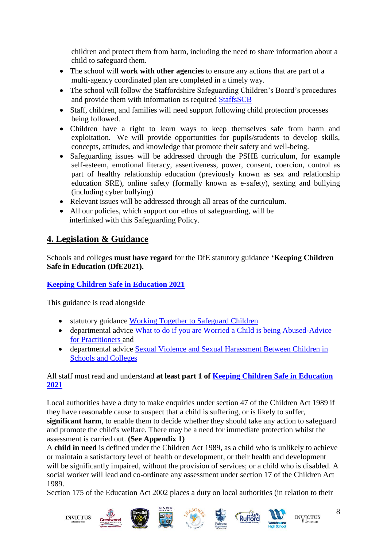children and protect them from harm, including the need to share information about a child to safeguard them.

- The school will **work with other agencies** to ensure any actions that are part of a multi-agency coordinated plan are completed in a timely way.
- The school will follow the Staffordshire Safeguarding Children's Board's procedures and provide them with information as required [StaffsSCB](https://www.staffsscb.org.uk/)
- Staff, children, and families will need support following child protection processes being followed.
- Children have a right to learn ways to keep themselves safe from harm and exploitation. We will provide opportunities for pupils/students to develop skills, concepts, attitudes, and knowledge that promote their safety and well-being.
- Safeguarding issues will be addressed through the PSHE curriculum, for example self-esteem, emotional literacy, assertiveness, power, consent, coercion, control as part of healthy relationship education (previously known as sex and relationship education SRE), online safety (formally known as e-safety), sexting and bullying (including cyber bullying)
- Relevant issues will be addressed through all areas of the curriculum.
- All our policies, which support our ethos of safeguarding, will be interlinked with this Safeguarding Policy.

# <span id="page-7-0"></span>**4. Legislation & Guidance**

Schools and colleges **must have regard** for the DfE statutory guidance **'Keeping Children Safe in Education (DfE2021).**

## **[Keeping Children Safe in Education 2021](https://assets.publishing.service.gov.uk/government/uploads/system/uploads/attachment_data/file/1007260/Keeping_children_safe_in_education_2021.pdf)**

This guidance is read alongside

- statutory guidance [Working Together to Safeguard Children](https://assets.publishing.service.gov.uk/government/uploads/system/uploads/attachment_data/file/942454/Working_together_to_safeguard_children_inter_agency_guidance.pdf)
- departmental advice [What to do if you are Worried a Child is being Abused-Advice](https://assets.publishing.service.gov.uk/government/uploads/system/uploads/attachment_data/file/419604/What_to_do_if_you_re_worried_a_child_is_being_abused.pdf)  [for Practitioners a](https://assets.publishing.service.gov.uk/government/uploads/system/uploads/attachment_data/file/419604/What_to_do_if_you_re_worried_a_child_is_being_abused.pdf)nd
- departmental advice [Sexual Violence and Sexual Harassment Between Children in](https://assets.publishing.service.gov.uk/government/uploads/system/uploads/attachment_data/file/999239/SVSH_2021.pdf)  [Schools and Colleges](https://assets.publishing.service.gov.uk/government/uploads/system/uploads/attachment_data/file/999239/SVSH_2021.pdf)

## All staff must read and understand **at least part 1 of [Keeping Children Safe in Education](https://assets.publishing.service.gov.uk/government/uploads/system/uploads/attachment_data/file/1007260/Keeping_children_safe_in_education_2021.pdf)  [2021](https://assets.publishing.service.gov.uk/government/uploads/system/uploads/attachment_data/file/1007260/Keeping_children_safe_in_education_2021.pdf)**

Local authorities have a duty to make enquiries under section 47 of the Children Act 1989 if they have reasonable cause to suspect that a child is suffering, or is likely to suffer, **significant harm**, to enable them to decide whether they should take any action to safeguard and promote the child's welfare. There may be a need for immediate protection whilst the assessment is carried out. **(See Appendix 1)**

A **child in need** is defined under the Children Act 1989, as a child who is unlikely to achieve or maintain a satisfactory level of health or development, or their health and development will be significantly impaired, without the provision of services; or a child who is disabled. A social worker will lead and co-ordinate any assessment under section 17 of the Children Act 1989.

Section 175 of the Education Act 2002 places a duty on local authorities (in relation to their











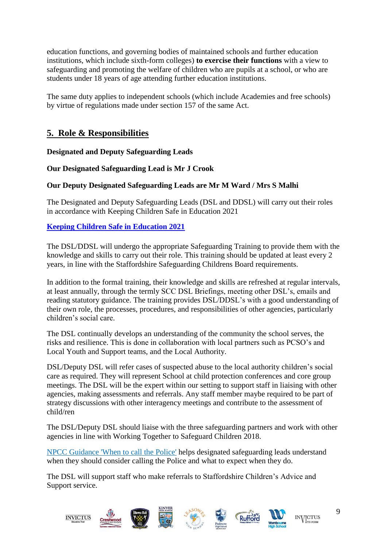education functions, and governing bodies of maintained schools and further education institutions, which include sixth-form colleges) **to exercise their functions** with a view to safeguarding and promoting the welfare of children who are pupils at a school, or who are students under 18 years of age attending further education institutions.

The same duty applies to independent schools (which include Academies and free schools) by virtue of regulations made under section 157 of the same Act.

## <span id="page-8-0"></span>**5. Role & Responsibilities**

**Designated and Deputy Safeguarding Leads**

## **Our Designated Safeguarding Lead is Mr J Crook**

#### **Our Deputy Designated Safeguarding Leads are Mr M Ward / Mrs S Malhi**

The Designated and Deputy Safeguarding Leads (DSL and DDSL) will carry out their roles in accordance with Keeping Children Safe in Education 2021

#### **[Keeping Children Safe in Education 2021](https://assets.publishing.service.gov.uk/government/uploads/system/uploads/attachment_data/file/1007260/Keeping_children_safe_in_education_2021.pdf)**

The DSL/DDSL will undergo the appropriate Safeguarding Training to provide them with the knowledge and skills to carry out their role. This training should be updated at least every 2 years, in line with the Staffordshire Safeguarding Childrens Board requirements.

In addition to the formal training, their knowledge and skills are refreshed at regular intervals, at least annually, through the termly SCC DSL Briefings, meeting other DSL's, emails and reading statutory guidance. The training provides DSL/DDSL's with a good understanding of their own role, the processes, procedures, and responsibilities of other agencies, particularly children's social care.

The DSL continually develops an understanding of the community the school serves, the risks and resilience. This is done in collaboration with local partners such as PCSO's and Local Youth and Support teams, and the Local Authority.

DSL/Deputy DSL will refer cases of suspected abuse to the local authority children's social care as required. They will represent School at child protection conferences and core group meetings. The DSL will be the expert within our setting to support staff in liaising with other agencies, making assessments and referrals. Any staff member maybe required to be part of strategy discussions with other interagency meetings and contribute to the assessment of child/ren

The DSL/Deputy DSL should liaise with the three safeguarding partners and work with other agencies in line with Working Together to Safeguard Children 2018.

[NPCC Guidance 'When to call the Police'](https://www.npcc.police.uk/documents/Children%20and%20Young%20people/When%20to%20call%20police%20guidance%20for%20schools%20and%20colleges.pdf) helps designated safeguarding leads understand when they should consider calling the Police and what to expect when they do.

The DSL will support staff who make referrals to Staffordshire Children's Advice and Support service.

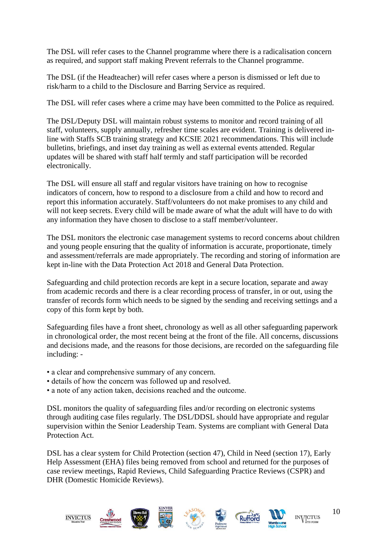The DSL will refer cases to the Channel programme where there is a radicalisation concern as required, and support staff making Prevent referrals to the Channel programme.

The DSL (if the Headteacher) will refer cases where a person is dismissed or left due to risk/harm to a child to the Disclosure and Barring Service as required.

The DSL will refer cases where a crime may have been committed to the Police as required.

The DSL/Deputy DSL will maintain robust systems to monitor and record training of all staff, volunteers, supply annually, refresher time scales are evident. Training is delivered inline with Staffs SCB training strategy and KCSIE 2021 recommendations. This will include bulletins, briefings, and inset day training as well as external events attended. Regular updates will be shared with staff half termly and staff participation will be recorded electronically.

The DSL will ensure all staff and regular visitors have training on how to recognise indicators of concern, how to respond to a disclosure from a child and how to record and report this information accurately. Staff/volunteers do not make promises to any child and will not keep secrets. Every child will be made aware of what the adult will have to do with any information they have chosen to disclose to a staff member/volunteer.

The DSL monitors the electronic case management systems to record concerns about children and young people ensuring that the quality of information is accurate, proportionate, timely and assessment/referrals are made appropriately. The recording and storing of information are kept in-line with the Data Protection Act 2018 and General Data Protection.

Safeguarding and child protection records are kept in a secure location, separate and away from academic records and there is a clear recording process of transfer, in or out, using the transfer of records form which needs to be signed by the sending and receiving settings and a copy of this form kept by both.

Safeguarding files have a front sheet, chronology as well as all other safeguarding paperwork in chronological order, the most recent being at the front of the file. All concerns, discussions and decisions made, and the reasons for those decisions, are recorded on the safeguarding file including: -

- a clear and comprehensive summary of any concern.
- details of how the concern was followed up and resolved.
- a note of any action taken, decisions reached and the outcome.

DSL monitors the quality of safeguarding files and/or recording on electronic systems through auditing case files regularly. The DSL/DDSL should have appropriate and regular supervision within the Senior Leadership Team. Systems are compliant with General Data Protection Act.

DSL has a clear system for Child Protection (section 47), Child in Need (section 17), Early Help Assessment (EHA) files being removed from school and returned for the purposes of case review meetings, Rapid Reviews, Child Safeguarding Practice Reviews (CSPR) and DHR (Domestic Homicide Reviews).

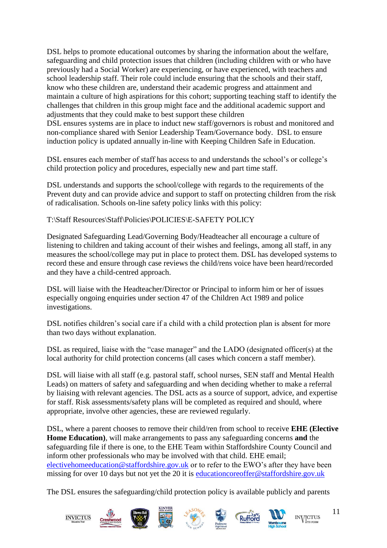DSL helps to promote educational outcomes by sharing the information about the welfare, safeguarding and child protection issues that children (including children with or who have previously had a Social Worker) are experiencing, or have experienced, with teachers and school leadership staff. Their role could include ensuring that the schools and their staff, know who these children are, understand their academic progress and attainment and maintain a culture of high aspirations for this cohort; supporting teaching staff to identify the challenges that children in this group might face and the additional academic support and adjustments that they could make to best support these children DSL ensures systems are in place to induct new staff/governors is robust and monitored and non-compliance shared with Senior Leadership Team/Governance body. DSL to ensure induction policy is updated annually in-line with Keeping Children Safe in Education.

DSL ensures each member of staff has access to and understands the school's or college's child protection policy and procedures, especially new and part time staff.

DSL understands and supports the school/college with regards to the requirements of the Prevent duty and can provide advice and support to staff on protecting children from the risk of radicalisation. Schools on-line safety policy links with this policy:

T:\Staff Resources\Staff\Policies\POLICIES\E-SAFETY POLICY

Designated Safeguarding Lead/Governing Body/Headteacher all encourage a culture of listening to children and taking account of their wishes and feelings, among all staff, in any measures the school/college may put in place to protect them. DSL has developed systems to record these and ensure through case reviews the child/rens voice have been heard/recorded and they have a child-centred approach.

DSL will liaise with the Headteacher/Director or Principal to inform him or her of issues especially ongoing enquiries under section 47 of the Children Act 1989 and police investigations.

DSL notifies children's social care if a child with a child protection plan is absent for more than two days without explanation.

DSL as required, liaise with the "case manager" and the LADO (designated officer(s) at the local authority for child protection concerns (all cases which concern a staff member).

DSL will liaise with all staff (e.g. pastoral staff, school nurses, SEN staff and Mental Health Leads) on matters of safety and safeguarding and when deciding whether to make a referral by liaising with relevant agencies. The DSL acts as a source of support, advice, and expertise for staff. Risk assessments/safety plans will be completed as required and should, where appropriate, involve other agencies, these are reviewed regularly.

DSL, where a parent chooses to remove their child/ren from school to receive **EHE (Elective Home Education)**, will make arrangements to pass any safeguarding concerns **and** the safeguarding file if there is one, to the EHE Team within Staffordshire County Council and inform other professionals who may be involved with that child. EHE email; [electivehomeeducation@staffordshire.gov.uk](mailto:electivehomeeducation@staffordshire.gov.uk) or to refer to the EWO's after they have been missing for over 10 days but not yet the 20 it is [educationcoreoffer@staffordshire.gov.uk](mailto:educationcoreoffer@staffordshire.gov.uk)

The DSL ensures the safeguarding/child protection policy is available publicly and parents











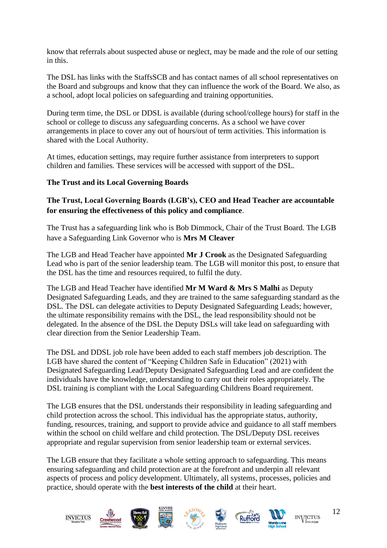know that referrals about suspected abuse or neglect, may be made and the role of our setting in this.

The DSL has links with the StaffsSCB and has contact names of all school representatives on the Board and subgroups and know that they can influence the work of the Board. We also, as a school, adopt local policies on safeguarding and training opportunities.

During term time, the DSL or DDSL is available (during school/college hours) for staff in the school or college to discuss any safeguarding concerns. As a school we have cover arrangements in place to cover any out of hours/out of term activities. This information is shared with the Local Authority.

At times, education settings, may require further assistance from interpreters to support children and families. These services will be accessed with support of the DSL.

#### **The Trust and its Local Governing Boards**

#### **The Trust, Local Governing Boards (LGB's), CEO and Head Teacher are accountable for ensuring the effectiveness of this policy and compliance**.

The Trust has a safeguarding link who is Bob Dimmock, Chair of the Trust Board. The LGB have a Safeguarding Link Governor who is **Mrs M Cleaver**

The LGB and Head Teacher have appointed **Mr J Crook** as the Designated Safeguarding Lead who is part of the senior leadership team. The LGB will monitor this post, to ensure that the DSL has the time and resources required, to fulfil the duty.

The LGB and Head Teacher have identified **Mr M Ward & Mrs S Malhi** as Deputy Designated Safeguarding Leads, and they are trained to the same safeguarding standard as the DSL. The DSL can delegate activities to Deputy Designated Safeguarding Leads; however, the ultimate responsibility remains with the DSL, the lead responsibility should not be delegated. In the absence of the DSL the Deputy DSLs will take lead on safeguarding with clear direction from the Senior Leadership Team.

The DSL and DDSL job role have been added to each staff members job description. The LGB have shared the content of "Keeping Children Safe in Education" (2021) with Designated Safeguarding Lead/Deputy Designated Safeguarding Lead and are confident the individuals have the knowledge, understanding to carry out their roles appropriately. The DSL training is compliant with the Local Safeguarding Childrens Board requirement.

The LGB ensures that the DSL understands their responsibility in leading safeguarding and child protection across the school. This individual has the appropriate status, authority, funding, resources, training, and support to provide advice and guidance to all staff members within the school on child welfare and child protection. The DSL/Deputy DSL receives appropriate and regular supervision from senior leadership team or external services.

The LGB ensure that they facilitate a whole setting approach to safeguarding. This means ensuring safeguarding and child protection are at the forefront and underpin all relevant aspects of process and policy development. Ultimately, all systems, processes, policies and practice, should operate with the **best interests of the child** at their heart.

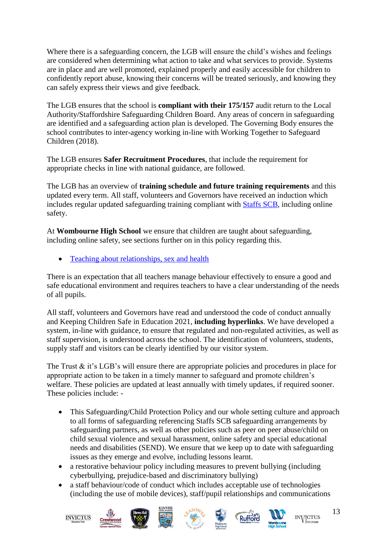Where there is a safeguarding concern, the LGB will ensure the child's wishes and feelings are considered when determining what action to take and what services to provide. Systems are in place and are well promoted, explained properly and easily accessible for children to confidently report abuse, knowing their concerns will be treated seriously, and knowing they can safely express their views and give feedback.

The LGB ensures that the school is **compliant with their 175/157** audit return to the Local Authority/Staffordshire Safeguarding Children Board. Any areas of concern in safeguarding are identified and a safeguarding action plan is developed. The Governing Body ensures the school contributes to inter-agency working in-line with Working Together to Safeguard Children (2018).

The LGB ensures **Safer Recruitment Procedures**, that include the requirement for appropriate checks in line with national guidance, are followed.

The LGB has an overview of **training schedule and future training requirements** and this updated every term. All staff, volunteers and Governors have received an induction which includes regular updated safeguarding training compliant with [Staffs](https://www.staffsscb.org.uk/) SCB, including online safety.

At **Wombourne High School** we ensure that children are taught about safeguarding, including online safety, see sections further on in this policy regarding this.

• [Teaching about relationships, sex and health](https://www.gov.uk/guidance/teaching-about-relationships-sex-and-health)

There is an expectation that all teachers manage behaviour effectively to ensure a good and safe educational environment and requires teachers to have a clear understanding of the needs of all pupils.

All staff, volunteers and Governors have read and understood the code of conduct annually and Keeping Children Safe in Education 2021, **including hyperlinks**. We have developed a system, in-line with guidance, to ensure that regulated and non-regulated activities, as well as staff supervision, is understood across the school. The identification of volunteers, students, supply staff and visitors can be clearly identified by our visitor system.

The Trust & it's LGB's will ensure there are appropriate policies and procedures in place for appropriate action to be taken in a timely manner to safeguard and promote children's welfare. These policies are updated at least annually with timely updates, if required sooner. These policies include: -

- This Safeguarding/Child Protection Policy and our whole setting culture and approach to all forms of safeguarding referencing Staffs SCB safeguarding arrangements by safeguarding partners, as well as other policies such as peer on peer abuse/child on child sexual violence and sexual harassment, online safety and special educational needs and disabilities (SEND). We ensure that we keep up to date with safeguarding issues as they emerge and evolve, including lessons learnt.
- a restorative behaviour policy including measures to prevent bullying (including cyberbullying, prejudice-based and discriminatory bullying)
- a staff behaviour/code of conduct which includes acceptable use of technologies (including the use of mobile devices), staff/pupil relationships and communications

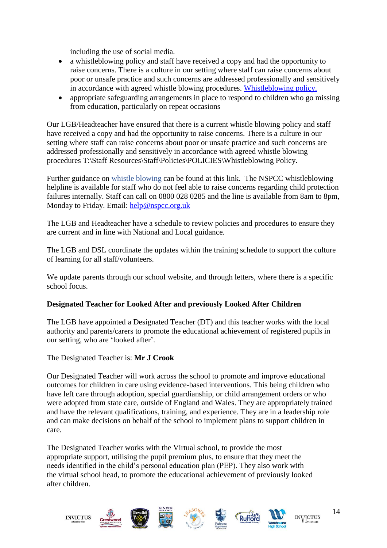including the use of social media.

- a whistleblowing policy and staff have received a copy and had the opportunity to raise concerns. There is a culture in our setting where staff can raise concerns about poor or unsafe practice and such concerns are addressed professionally and sensitively in accordance with agreed whistle blowing procedures. [Whistleblowing policy.](https://dbfd3b1a-cb88-4d77-9bc8-cde799ee603f.filesusr.com/ugd/9f7e50_0894661900654a09953fc9140e81b168.pdf)
- appropriate safeguarding arrangements in place to respond to children who go missing from education, particularly on repeat occasions

Our LGB/Headteacher have ensured that there is a current whistle blowing policy and staff have received a copy and had the opportunity to raise concerns. There is a culture in our setting where staff can raise concerns about poor or unsafe practice and such concerns are addressed professionally and sensitively in accordance with agreed whistle blowing procedures T:\Staff Resources\Staff\Policies\POLICIES\Whistleblowing Policy.

Further guidance on [whistle blowing](https://www.gov.uk/whistleblowing) can be found at this link. The NSPCC whistleblowing helpline is available for staff who do not feel able to raise concerns regarding child protection failures internally. Staff can call on 0800 028 0285 and the line is available from 8am to 8pm, Monday to Friday. Email: [help@nspcc.org.uk](mailto:help@nspcc.org.uk)

The LGB and Headteacher have a schedule to review policies and procedures to ensure they are current and in line with National and Local guidance.

The LGB and DSL coordinate the updates within the training schedule to support the culture of learning for all staff/volunteers.

We update parents through our school website, and through letters, where there is a specific school focus.

#### **Designated Teacher for Looked After and previously Looked After Children**

The LGB have appointed a Designated Teacher (DT) and this teacher works with the local authority and parents/carers to promote the educational achievement of registered pupils in our setting, who are 'looked after'.

The Designated Teacher is: **Mr J Crook**

Our Designated Teacher will work across the school to promote and improve educational outcomes for children in care using evidence-based interventions. This being children who have left care through adoption, special guardianship, or child arrangement orders or who were adopted from state care, outside of England and Wales. They are appropriately trained and have the relevant qualifications, training, and experience. They are in a leadership role and can make decisions on behalf of the school to implement plans to support children in care.

The Designated Teacher works with the Virtual school, to provide the most appropriate support, utilising the pupil premium plus, to ensure that they meet the needs identified in the child's personal education plan (PEP). They also work with the virtual school head, to promote the educational achievement of previously looked after children.

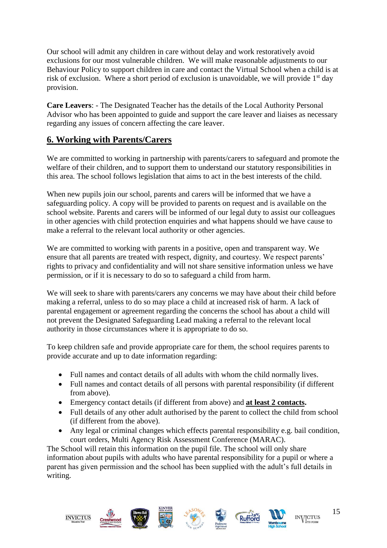Our school will admit any children in care without delay and work restoratively avoid exclusions for our most vulnerable children. We will make reasonable adjustments to our Behaviour Policy to support children in care and contact the Virtual School when a child is at risk of exclusion. Where a short period of exclusion is unavoidable, we will provide  $1<sup>st</sup>$  day provision.

**Care Leavers**: - The Designated Teacher has the details of the Local Authority Personal Advisor who has been appointed to guide and support the care leaver and liaises as necessary regarding any issues of concern affecting the care leaver.

# <span id="page-14-0"></span>**6. Working with Parents/Carers**

We are committed to working in partnership with parents/carers to safeguard and promote the welfare of their children, and to support them to understand our statutory responsibilities in this area. The school follows legislation that aims to act in the best interests of the child.

When new pupils join our school, parents and carers will be informed that we have a safeguarding policy. A copy will be provided to parents on request and is available on the school website. Parents and carers will be informed of our legal duty to assist our colleagues in other agencies with child protection enquiries and what happens should we have cause to make a referral to the relevant local authority or other agencies.

We are committed to working with parents in a positive, open and transparent way. We ensure that all parents are treated with respect, dignity, and courtesy. We respect parents' rights to privacy and confidentiality and will not share sensitive information unless we have permission, or if it is necessary to do so to safeguard a child from harm.

We will seek to share with parents/carers any concerns we may have about their child before making a referral, unless to do so may place a child at increased risk of harm. A lack of parental engagement or agreement regarding the concerns the school has about a child will not prevent the Designated Safeguarding Lead making a referral to the relevant local authority in those circumstances where it is appropriate to do so.

To keep children safe and provide appropriate care for them, the school requires parents to provide accurate and up to date information regarding:

- Full names and contact details of all adults with whom the child normally lives.
- Full names and contact details of all persons with parental responsibility (if different from above).
- Emergency contact details (if different from above) and **at least 2 contacts.**
- Full details of any other adult authorised by the parent to collect the child from school (if different from the above).
- Any legal or criminal changes which effects parental responsibility e.g. bail condition, court orders, Multi Agency Risk Assessment Conference (MARAC).

The School will retain this information on the pupil file. The school will only share information about pupils with adults who have parental responsibility for a pupil or where a parent has given permission and the school has been supplied with the adult's full details in writing.











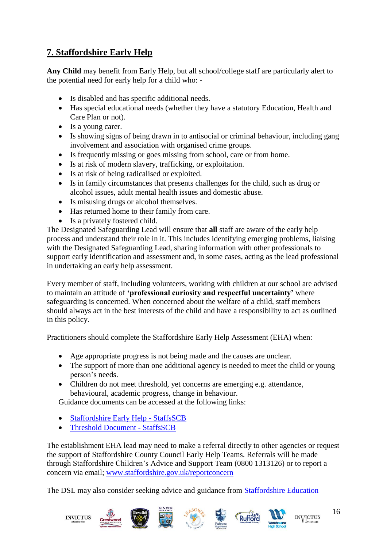# <span id="page-15-0"></span>**7. Staffordshire Early Help**

**Any Child** may benefit from Early Help, but all school/college staff are particularly alert to the potential need for early help for a child who: -

- Is disabled and has specific additional needs.
- Has special educational needs (whether they have a statutory Education, Health and Care Plan or not).
- Is a young carer.
- Is showing signs of being drawn in to antisocial or criminal behaviour, including gang involvement and association with organised crime groups.
- Is frequently missing or goes missing from school, care or from home.
- Is at risk of modern slavery, trafficking, or exploitation.
- Is at risk of being radicalised or exploited.
- Is in family circumstances that presents challenges for the child, such as drug or alcohol issues, adult mental health issues and domestic abuse.
- Is misusing drugs or alcohol themselves.
- Has returned home to their family from care.
- Is a privately fostered child.

The Designated Safeguarding Lead will ensure that **all** staff are aware of the early help process and understand their role in it. This includes identifying emerging problems, liaising with the Designated Safeguarding Lead, sharing information with other professionals to support early identification and assessment and, in some cases, acting as the lead professional in undertaking an early help assessment.

Every member of staff, including volunteers, working with children at our school are advised to maintain an attitude of **'professional curiosity and respectful uncertainty'** where safeguarding is concerned. When concerned about the welfare of a child, staff members should always act in the best interests of the child and have a responsibility to act as outlined in this policy.

Practitioners should complete the Staffordshire Early Help Assessment (EHA) when:

- Age appropriate progress is not being made and the causes are unclear.
- The support of more than one additional agency is needed to meet the child or young person's needs.
- Children do not meet threshold, yet concerns are emerging e.g. attendance, behavioural, academic progress, change in behaviour.

Guidance documents can be accessed at the following links:

- [Staffordshire Early Help -](https://www.staffsscb.org.uk/working-together-to-safeguard-children/early-help-strategy/staffordshire-early-help/) StaffsSCB
- [Threshold Document -](https://www.staffsscb.org.uk/wp-content/uploads/2020/09/Threshold-Document.pdf) StaffsSCB

The establishment EHA lead may need to make a referral directly to other agencies or request the support of Staffordshire County Council Early Help Teams. Referrals will be made through Staffordshire Children's Advice and Support Team (0800 1313126) or to report a concern via email; [www.staffordshire.gov.uk/reportconcern](http://www.staffordshire.gov.uk/reportconcern)

The DSL may also consider seeking advice and guidance from [Staffordshire Education](https://www.staffordshire.gov.uk/Care-for-children-and-families/Childprotection/Education-Safegiuarding-Advice-Service.aspx) 













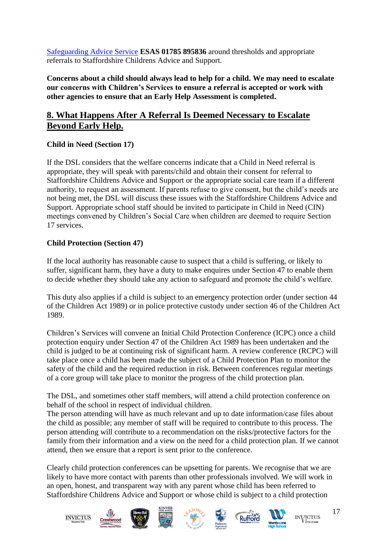[Safeguarding Advice Service](https://www.staffordshire.gov.uk/Care-for-children-and-families/Childprotection/Education-Safegiuarding-Advice-Service.aspx) **ESAS 01785 895836** around thresholds and appropriate referrals to Staffordshire Childrens Advice and Support.

**Concerns about a child should always lead to help for a child. We may need to escalate our concerns with Children's Services to ensure a referral is accepted or work with other agencies to ensure that an Early Help Assessment is completed.**

# <span id="page-16-0"></span>**8. What Happens After A Referral Is Deemed Necessary to Escalate Beyond Early Help.**

## **Child in Need (Section 17)**

If the DSL considers that the welfare concerns indicate that a Child in Need referral is appropriate, they will speak with parents/child and obtain their consent for referral to Staffordshire Childrens Advice and Support or the appropriate social care team if a different authority, to request an assessment. If parents refuse to give consent, but the child's needs are not being met, the DSL will discuss these issues with the Staffordshire Childrens Advice and Support. Appropriate school staff should be invited to participate in Child in Need (CIN) meetings convened by Children's Social Care when children are deemed to require Section 17 services.

## **Child Protection (Section 47)**

If the local authority has reasonable cause to suspect that a child is suffering, or likely to suffer, significant harm, they have a duty to make enquires under Section 47 to enable them to decide whether they should take any action to safeguard and promote the child's welfare.

This duty also applies if a child is subject to an emergency protection order (under section 44 of the Children Act 1989) or in police protective custody under section 46 of the Children Act 1989.

Children's Services will convene an Initial Child Protection Conference (ICPC) once a child protection enquiry under Section 47 of the Children Act 1989 has been undertaken and the child is judged to be at continuing risk of significant harm. A review conference (RCPC) will take place once a child has been made the subject of a Child Protection Plan to monitor the safety of the child and the required reduction in risk. Between conferences regular meetings of a core group will take place to monitor the progress of the child protection plan.

The DSL, and sometimes other staff members, will attend a child protection conference on behalf of the school in respect of individual children.

The person attending will have as much relevant and up to date information/case files about the child as possible; any member of staff will be required to contribute to this process. The person attending will contribute to a recommendation on the risks/protective factors for the family from their information and a view on the need for a child protection plan. If we cannot attend, then we ensure that a report is sent prior to the conference.

Clearly child protection conferences can be upsetting for parents. We recognise that we are likely to have more contact with parents than other professionals involved. We will work in an open, honest, and transparent way with any parent whose child has been referred to Staffordshire Childrens Advice and Support or whose child is subject to a child protection













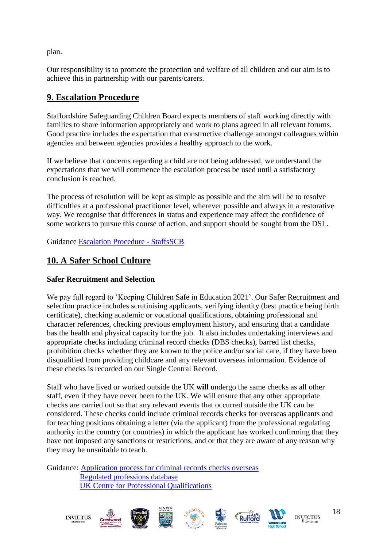plan.

Our responsibility is to promote the protection and welfare of all children and our aim is to achieve this in partnership with our parents/carers.

# <span id="page-17-0"></span>**9. Escalation Procedure**

Staffordshire Safeguarding Children Board expects members of staff working directly with families to share information appropriately and work to plans agreed in all relevant forums. Good practice includes the expectation that constructive challenge amongst colleagues within agencies and between agencies provides a healthy approach to the work.

If we believe that concerns regarding a child are not being addressed, we understand the expectations that we will commence the escalation process be used until a satisfactory conclusion is reached.

The process of resolution will be kept as simple as possible and the aim will be to resolve difficulties at a professional practitioner level, wherever possible and always in a restorative way. We recognise that differences in status and experience may affect the confidence of some workers to pursue this course of action, and support should be sought from the DSL.

Guidance [Escalation Procedure -](https://www.staffsscb.org.uk/wp-content/uploads/2020/08/Escalation-Procedure-1.pdf) StaffsSCB

## <span id="page-17-1"></span>**10. A Safer School Culture**

## **Safer Recruitment and Selection**

We pay full regard to 'Keeping Children Safe in Education 2021'. Our Safer Recruitment and selection practice includes scrutinising applicants, verifying identity (best practice being birth certificate), checking academic or vocational qualifications, obtaining professional and character references, checking previous employment history, and ensuring that a candidate has the health and physical capacity for the job. It also includes undertaking interviews and appropriate checks including criminal record checks (DBS checks), barred list checks, prohibition checks whether they are known to the police and/or social care, if they have been disqualified from providing childcare and any relevant overseas information. Evidence of these checks is recorded on our Single Central Record.

Staff who have lived or worked outside the UK **will** undergo the same checks as all other staff, even if they have never been to the UK. We will ensure that any other appropriate checks are carried out so that any relevant events that occurred outside the UK can be considered. These checks could include criminal records checks for overseas applicants and for teaching positions obtaining a letter (via the applicant) from the professional regulating authority in the country (or countries) in which the applicant has worked confirming that they have not imposed any sanctions or restrictions, and or that they are aware of any reason why they may be unsuitable to teach.

Guidance: [Application process for criminal records checks overseas](https://www.gov.uk/government/publications/criminal-records-checks-for-overseas-applicants/guidance-on-the-application-process-for-criminal-records-checks-overseas)  [Regulated professions database](https://ec.europa.eu/growth/tools-databases/regprof/)  [UK Centre for Professional Qualifications](https://cpq.ecctis.com/)













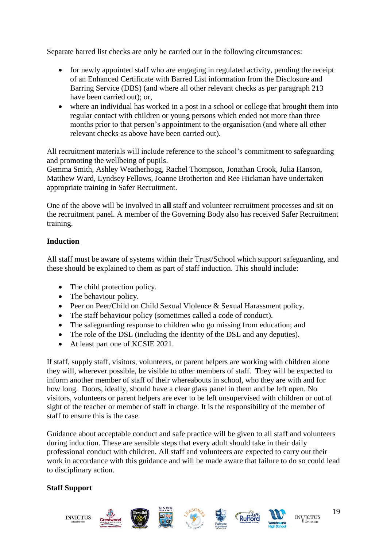Separate barred list checks are only be carried out in the following circumstances:

- for newly appointed staff who are engaging in regulated activity, pending the receipt of an Enhanced Certificate with Barred List information from the Disclosure and Barring Service (DBS) (and where all other relevant checks as per paragraph 213 have been carried out); or,
- where an individual has worked in a post in a school or college that brought them into regular contact with children or young persons which ended not more than three months prior to that person's appointment to the organisation (and where all other relevant checks as above have been carried out).

All recruitment materials will include reference to the school's commitment to safeguarding and promoting the wellbeing of pupils.

Gemma Smith, Ashley Weatherhogg, Rachel Thompson, Jonathan Crook, Julia Hanson, Matthew Ward, Lyndsey Fellows, Joanne Brotherton and Ree Hickman have undertaken appropriate training in Safer Recruitment.

One of the above will be involved in **all** staff and volunteer recruitment processes and sit on the recruitment panel. A member of the Governing Body also has received Safer Recruitment training.

## **Induction**

All staff must be aware of systems within their Trust/School which support safeguarding, and these should be explained to them as part of staff induction. This should include:

- The child protection policy.
- The behaviour policy.
- Peer on Peer/Child on Child Sexual Violence & Sexual Harassment policy.
- The staff behaviour policy (sometimes called a code of conduct).
- The safeguarding response to children who go missing from education; and
- The role of the DSL (including the identity of the DSL and any deputies).
- At least part one of KCSIE 2021.

If staff, supply staff, visitors, volunteers, or parent helpers are working with children alone they will, wherever possible, be visible to other members of staff. They will be expected to inform another member of staff of their whereabouts in school, who they are with and for how long. Doors, ideally, should have a clear glass panel in them and be left open. No visitors, volunteers or parent helpers are ever to be left unsupervised with children or out of sight of the teacher or member of staff in charge. It is the responsibility of the member of staff to ensure this is the case.

Guidance about acceptable conduct and safe practice will be given to all staff and volunteers during induction. These are sensible steps that every adult should take in their daily professional conduct with children. All staff and volunteers are expected to carry out their work in accordance with this guidance and will be made aware that failure to do so could lead to disciplinary action.

#### **Staff Support**

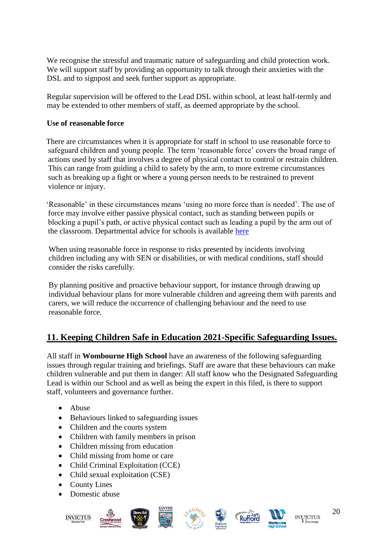We recognise the stressful and traumatic nature of safeguarding and child protection work. We will support staff by providing an opportunity to talk through their anxieties with the DSL and to signpost and seek further support as appropriate.

Regular supervision will be offered to the Lead DSL within school, at least half-termly and may be extended to other members of staff, as deemed appropriate by the school.

#### **Use of reasonable force**

 There are circumstances when it is appropriate for staff in school to use reasonable force to safeguard children and young people. The term 'reasonable force' covers the broad range of actions used by staff that involves a degree of physical contact to control or restrain children. This can range from guiding a child to safety by the arm, to more extreme circumstances such as breaking up a fight or where a young person needs to be restrained to prevent violence or injury.

 'Reasonable' in these circumstances means 'using no more force than is needed'. The use of force may involve either passive physical contact, such as standing between pupils or blocking a pupil's path, or active physical contact such as leading a pupil by the arm out of the classroom. Departmental advice for schools is available [here](https://www.gov.uk/government/publications/use-of-reasonable-force-in-schools)

When using reasonable force in response to risks presented by incidents involving children including any with SEN or disabilities, or with medical conditions, staff should consider the risks carefully.

By planning positive and proactive behaviour support, for instance through drawing up individual behaviour plans for more vulnerable children and agreeing them with parents and carers, we will reduce the occurrence of challenging behaviour and the need to use reasonable force.

# <span id="page-19-0"></span>**11. Keeping Children Safe in Education 2021-Specific Safeguarding Issues.**

All staff in **Wombourne High School** have an awareness of the following safeguarding issues through regular training and briefings. Staff are aware that these behaviours can make children vulnerable and put them in danger: All staff know who the Designated Safeguarding Lead is within our School and as well as being the expert in this filed, is there to support staff, volunteers and governance further.

- Abuse
- Behaviours linked to safeguarding issues
- Children and the courts system
- Children with family members in prison
- Children missing from education
- Child missing from home or care
- Child Criminal Exploitation (CCE)
- Child sexual exploitation (CSE)
- County Lines
- Domestic abuse













**INVICTUS**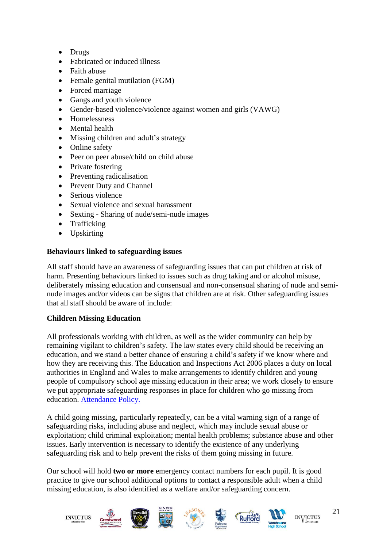- Drugs
- Fabricated or induced illness
- Faith abuse
- Female genital mutilation (FGM)
- Forced marriage
- Gangs and youth violence
- Gender-based violence/violence against women and girls (VAWG)
- Homelessness
- Mental health
- Missing children and adult's strategy
- Online safety
- Peer on peer abuse/child on child abuse
- Private fostering
- Preventing radicalisation
- Prevent Duty and Channel
- Serious violence
- Sexual violence and sexual harassment
- Sexting Sharing of nude/semi-nude images
- Trafficking
- Upskirting

## **Behaviours linked to safeguarding issues**

All staff should have an awareness of safeguarding issues that can put children at risk of harm. Presenting behaviours linked to issues such as drug taking and or alcohol misuse, deliberately missing education and consensual and non-consensual sharing of nude and seminude images and/or videos can be signs that children are at risk. Other safeguarding issues that all staff should be aware of include:

## **Children Missing Education**

All professionals working with children, as well as the wider community can help by remaining vigilant to children's safety. The law states every child should be receiving an education, and we stand a better chance of ensuring a child's safety if we know where and how they are receiving this. The Education and Inspections Act 2006 places a duty on local authorities in England and Wales to make arrangements to identify children and young people of compulsory school age missing education in their area; we work closely to ensure we put appropriate safeguarding responses in place for children who go missing from education. [Attendance Policy.](https://dbfd3b1a-cb88-4d77-9bc8-cde799ee603f.filesusr.com/ugd/f687c8_7c1c69d95ce243afba0140ff7c2b5dc7.pdf)

A child going missing, particularly repeatedly, can be a vital warning sign of a range of safeguarding risks, including abuse and neglect, which may include sexual abuse or exploitation; child criminal exploitation; mental health problems; substance abuse and other issues. Early intervention is necessary to identify the existence of any underlying safeguarding risk and to help prevent the risks of them going missing in future.

Our school will hold **two or more** emergency contact numbers for each pupil. It is good practice to give our school additional options to contact a responsible adult when a child missing education, is also identified as a welfare and/or safeguarding concern.

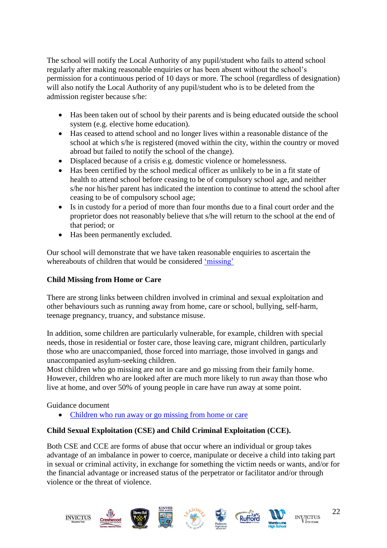The school will notify the Local Authority of any pupil/student who fails to attend school regularly after making reasonable enquiries or has been absent without the school's permission for a continuous period of 10 days or more. The school (regardless of designation) will also notify the Local Authority of any pupil/student who is to be deleted from the admission register because s/he:

- Has been taken out of school by their parents and is being educated outside the school system (e.g. elective home education).
- Has ceased to attend school and no longer lives within a reasonable distance of the school at which s/he is registered (moved within the city, within the country or moved abroad but failed to notify the school of the change).
- Displaced because of a crisis e.g. domestic violence or homelessness.
- Has been certified by the school medical officer as unlikely to be in a fit state of health to attend school before ceasing to be of compulsory school age, and neither s/he nor his/her parent has indicated the intention to continue to attend the school after ceasing to be of compulsory school age;
- Is in custody for a period of more than four months due to a final court order and the proprietor does not reasonably believe that s/he will return to the school at the end of that period; or
- Has been permanently excluded.

Our school will demonstrate that we have taken reasonable enquiries to ascertain the whereabouts of children that would be considered ['missing'](https://www.gov.uk/government/publications/children-missing-education)

#### **Child Missing from Home or Care**

There are strong links between children involved in criminal and sexual exploitation and other behaviours such as running away from home, care or school, bullying, self-harm, teenage pregnancy, truancy, and substance misuse.

In addition, some children are particularly vulnerable, for example, children with special needs, those in residential or foster care, those leaving care, migrant children, particularly those who are unaccompanied, those forced into marriage, those involved in gangs and unaccompanied asylum-seeking children.

Most children who go missing are not in care and go missing from their family home. However, children who are looked after are much more likely to run away than those who live at home, and over 50% of young people in care have run away at some point.

Guidance document

• [Children who run away or go missing from home or care](https://www.gov.uk/government/publications/children-who-run-away-or-go-missing-from-home-or-care)

#### **Child Sexual Exploitation (CSE) and Child Criminal Exploitation (CCE).**

Both CSE and CCE are forms of abuse that occur where an individual or group takes advantage of an imbalance in power to coerce, manipulate or deceive a child into taking part in sexual or criminal activity, in exchange for something the victim needs or wants, and/or for the financial advantage or increased status of the perpetrator or facilitator and/or through violence or the threat of violence.



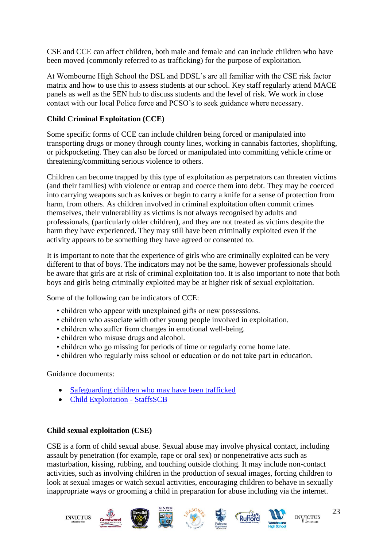CSE and CCE can affect children, both male and female and can include children who have been moved (commonly referred to as trafficking) for the purpose of exploitation.

At Wombourne High School the DSL and DDSL's are all familiar with the CSE risk factor matrix and how to use this to assess students at our school. Key staff regularly attend MACE panels as well as the SEN hub to discuss students and the level of risk. We work in close contact with our local Police force and PCSO's to seek guidance where necessary.

## **Child Criminal Exploitation (CCE)**

Some specific forms of CCE can include children being forced or manipulated into transporting drugs or money through county lines, working in cannabis factories, shoplifting, or pickpocketing. They can also be forced or manipulated into committing vehicle crime or threatening/committing serious violence to others.

Children can become trapped by this type of exploitation as perpetrators can threaten victims (and their families) with violence or entrap and coerce them into debt. They may be coerced into carrying weapons such as knives or begin to carry a knife for a sense of protection from harm, from others. As children involved in criminal exploitation often commit crimes themselves, their vulnerability as victims is not always recognised by adults and professionals, (particularly older children), and they are not treated as victims despite the harm they have experienced. They may still have been criminally exploited even if the activity appears to be something they have agreed or consented to.

It is important to note that the experience of girls who are criminally exploited can be very different to that of boys. The indicators may not be the same, however professionals should be aware that girls are at risk of criminal exploitation too. It is also important to note that both boys and girls being criminally exploited may be at higher risk of sexual exploitation.

Some of the following can be indicators of CCE:

- children who appear with unexplained gifts or new possessions.
- children who associate with other young people involved in exploitation.
- children who suffer from changes in emotional well-being.
- children who misuse drugs and alcohol.
- children who go missing for periods of time or regularly come home late.
- children who regularly miss school or education or do not take part in education.

Guidance documents:

- [Safeguarding children who may have been trafficked](https://www.gov.uk/government/publications/safeguarding-children-who-may-have-been-trafficked-practice-guidance)
- [Child Exploitation -](https://www.staffsscb.org.uk/working-together-to-safeguard-children/child-exploitation/) StaffsSCB

#### **Child sexual exploitation (CSE)**

CSE is a form of child sexual abuse. Sexual abuse may involve physical contact, including assault by penetration (for example, rape or oral sex) or nonpenetrative acts such as masturbation, kissing, rubbing, and touching outside clothing. It may include non-contact activities, such as involving children in the production of sexual images, forcing children to look at sexual images or watch sexual activities, encouraging children to behave in sexually inappropriate ways or grooming a child in preparation for abuse including via the internet.





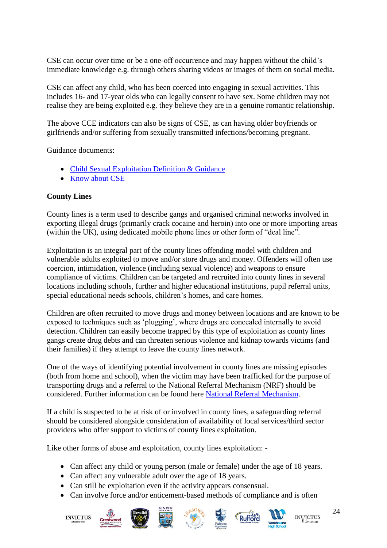CSE can occur over time or be a one-off occurrence and may happen without the child's immediate knowledge e.g. through others sharing videos or images of them on social media.

CSE can affect any child, who has been coerced into engaging in sexual activities. This includes 16- and 17-year olds who can legally consent to have sex. Some children may not realise they are being exploited e.g. they believe they are in a genuine romantic relationship.

The above CCE indicators can also be signs of CSE, as can having older boyfriends or girlfriends and/or suffering from sexually transmitted infections/becoming pregnant.

Guidance documents:

- [Child Sexual Exploitation Definition & Guidance](https://www.google.com/url?sa=t&rct=j&q=&esrc=s&source=web&cd=&cad=rja&uact=8&ved=2ahUKEwiQjKPPusrqAhVjs3EKHehtAFoQFjAEegQIBBAB&url=https%3A%2F%2Fwww.gov.uk%2Fgovernment%2Fpublications%2Fchild-sexual-exploitation-definition-and-guide-for-practitioners&usg=AOvVaw3_SgEJIra33fq4k-9DIegf)
- [Know about CSE](http://www.knowaboutcse.co.uk/)

#### **County Lines**

County lines is a term used to describe gangs and organised criminal networks involved in exporting illegal drugs (primarily crack cocaine and heroin) into one or more importing areas (within the UK), using dedicated mobile phone lines or other form of "deal line".

Exploitation is an integral part of the county lines offending model with children and vulnerable adults exploited to move and/or store drugs and money. Offenders will often use coercion, intimidation, violence (including sexual violence) and weapons to ensure compliance of victims. Children can be targeted and recruited into county lines in several locations including schools, further and higher educational institutions, pupil referral units, special educational needs schools, children's homes, and care homes.

Children are often recruited to move drugs and money between locations and are known to be exposed to techniques such as 'plugging', where drugs are concealed internally to avoid detection. Children can easily become trapped by this type of exploitation as county lines gangs create drug debts and can threaten serious violence and kidnap towards victims (and their families) if they attempt to leave the county lines network.

One of the ways of identifying potential involvement in county lines are missing episodes (both from home and school), when the victim may have been trafficked for the purpose of transporting drugs and a referral to the National Referral Mechanism (NRF) should be considered. Further information can be found here [National Referral Mechanism.](https://assets.publishing.service.gov.uk/government/uploads/system/uploads/attachment_data/file/233310/NRM_child_first_responders_guidance.pdf)

If a child is suspected to be at risk of or involved in county lines, a safeguarding referral should be considered alongside consideration of availability of local services/third sector providers who offer support to victims of county lines exploitation.

Like other forms of abuse and exploitation, county lines exploitation: -

- Can affect any child or young person (male or female) under the age of 18 years.
- Can affect any vulnerable adult over the age of 18 years.
- Can still be exploitation even if the activity appears consensual.
- Can involve force and/or enticement-based methods of compliance and is often















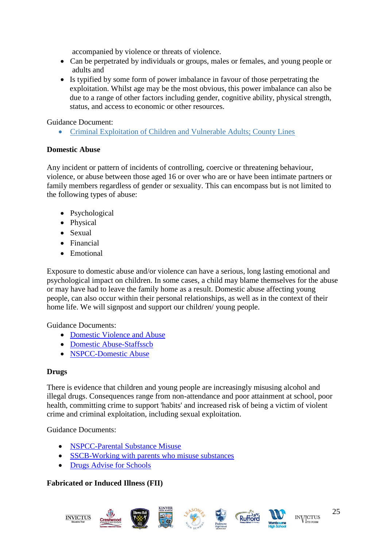accompanied by violence or threats of violence.

- Can be perpetrated by individuals or groups, males or females, and young people or adults and
- Is typified by some form of power imbalance in favour of those perpetrating the exploitation. Whilst age may be the most obvious, this power imbalance can also be due to a range of other factors including gender, cognitive ability, physical strength, status, and access to economic or other resources.

#### Guidance Document:

• [Criminal Exploitation of Children and Vulnerable Adults; County Lines](https://www.gov.uk/government/publications/criminal-exploitation-of-children-and-vulnerable-adults-county-lines)

#### **Domestic Abuse**

Any incident or pattern of incidents of controlling, coercive or threatening behaviour, violence, or abuse between those aged 16 or over who are or have been intimate partners or family members regardless of gender or sexuality. This can encompass but is not limited to the following types of abuse:

- Psychological
- Physical
- Sexual
- Financial
- Emotional

Exposure to domestic abuse and/or violence can have a serious, long lasting emotional and psychological impact on children. In some cases, a child may blame themselves for the abuse or may have had to leave the family home as a result. Domestic abuse affecting young people, can also occur within their personal relationships, as well as in the context of their home life. We will signpost and support our children/ young people.

Guidance Documents:

- [Domestic Violence and Abuse](https://www.gov.uk/guidance/domestic-violence-and-abuse)
- [Domestic Abuse-Staffsscb](https://www.staffsscb.org.uk/?s=domestic+abuse)
- [NSPCC-Domestic Abuse](https://www.nspcc.org.uk/what-is-child-abuse/types-of-abuse/domestic-abuse/)

## **Drugs**

There is evidence that children and young people are increasingly misusing alcohol and illegal drugs. Consequences range from non-attendance and poor attainment at school, poor health, committing crime to support 'habits' and increased risk of being a victim of violent crime and criminal exploitation, including sexual exploitation.

Guidance Documents:

- **[NSPCC-Parental Substance Misuse](https://learning.nspcc.org.uk/children-and-families-at-risk/parental-substance-misuse)**
- [SSCB-Working with parents who misuse substances](https://www.ssscb.org.uk/wp-content/uploads/2020/04/Section-4Q-Working-with-Parents-who-misuse-substances.pdf)
- [Drugs Advise for Schools](https://www.gov.uk/government/publications/drugs-advice-for-schools)

## **Fabricated or Induced Illness (FII)**











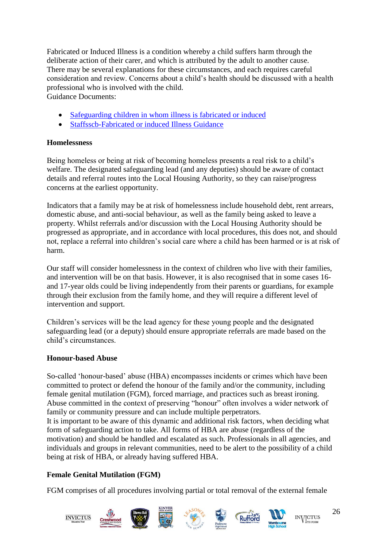Fabricated or Induced Illness is a condition whereby a child suffers harm through the deliberate action of their carer, and which is attributed by the adult to another cause. There may be several explanations for these circumstances, and each requires careful consideration and review. Concerns about a child's health should be discussed with a health professional who is involved with the child. Guidance Documents:

• [Safeguarding children in whom illness is fabricated or induced](https://www.gov.uk/government/publications/safeguarding-children-in-whom-illness-is-fabricated-or-induced)

• [Staffsscb-Fabricated or induced Illness Guidance](https://www.staffsscb.org.uk/wp-content/uploads/2020/12/Fabricated-or-Induced-Illness.pdf)

## **Homelessness**

Being homeless or being at risk of becoming homeless presents a real risk to a child's welfare. The designated safeguarding lead (and any deputies) should be aware of contact details and referral routes into the Local Housing Authority, so they can raise/progress concerns at the earliest opportunity.

Indicators that a family may be at risk of homelessness include household debt, rent arrears, domestic abuse, and anti-social behaviour, as well as the family being asked to leave a property. Whilst referrals and/or discussion with the Local Housing Authority should be progressed as appropriate, and in accordance with local procedures, this does not, and should not, replace a referral into children's social care where a child has been harmed or is at risk of harm.

Our staff will consider homelessness in the context of children who live with their families, and intervention will be on that basis. However, it is also recognised that in some cases 16 and 17-year olds could be living independently from their parents or guardians, for example through their exclusion from the family home, and they will require a different level of intervention and support.

Children's services will be the lead agency for these young people and the designated safeguarding lead (or a deputy) should ensure appropriate referrals are made based on the child's circumstances.

## **Honour-based Abuse**

So-called 'honour-based' abuse (HBA) encompasses incidents or crimes which have been committed to protect or defend the honour of the family and/or the community, including female genital mutilation (FGM), forced marriage, and practices such as breast ironing. Abuse committed in the context of preserving "honour" often involves a wider network of family or community pressure and can include multiple perpetrators.

It is important to be aware of this dynamic and additional risk factors, when deciding what form of safeguarding action to take. All forms of HBA are abuse (regardless of the motivation) and should be handled and escalated as such. Professionals in all agencies, and individuals and groups in relevant communities, need to be alert to the possibility of a child being at risk of HBA, or already having suffered HBA.

# **Female Genital Mutilation (FGM)**

FGM comprises of all procedures involving partial or total removal of the external female

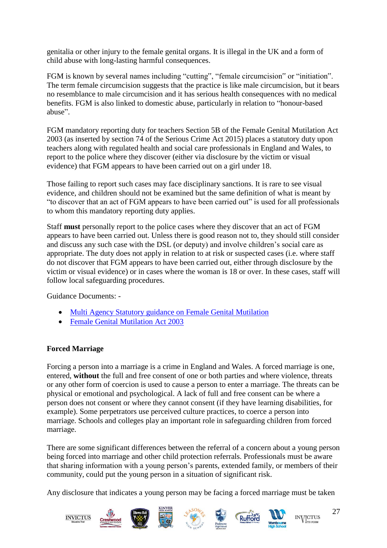genitalia or other injury to the female genital organs. It is illegal in the UK and a form of child abuse with long-lasting harmful consequences.

FGM is known by several names including "cutting", "female circumcision" or "initiation". The term female circumcision suggests that the practice is like male circumcision, but it bears no resemblance to male circumcision and it has serious health consequences with no medical benefits. FGM is also linked to domestic abuse, particularly in relation to "honour-based abuse".

FGM mandatory reporting duty for teachers Section 5B of the Female Genital Mutilation Act 2003 (as inserted by section 74 of the Serious Crime Act 2015) places a statutory duty upon teachers along with regulated health and social care professionals in England and Wales, to report to the police where they discover (either via disclosure by the victim or visual evidence) that FGM appears to have been carried out on a girl under 18.

Those failing to report such cases may face disciplinary sanctions. It is rare to see visual evidence, and children should not be examined but the same definition of what is meant by "to discover that an act of FGM appears to have been carried out" is used for all professionals to whom this mandatory reporting duty applies.

Staff **must** personally report to the police cases where they discover that an act of FGM appears to have been carried out. Unless there is good reason not to, they should still consider and discuss any such case with the DSL (or deputy) and involve children's social care as appropriate. The duty does not apply in relation to at risk or suspected cases (i.e. where staff do not discover that FGM appears to have been carried out, either through disclosure by the victim or visual evidence) or in cases where the woman is 18 or over. In these cases, staff will follow local safeguarding procedures.

Guidance Documents: -

- [Multi Agency Statutory guidance on Female Genital Mutilation](https://www.gov.uk/government/publications/multi-agency-statutory-guidance-on-female-genital-mutilation)
- [Female Genital Mutilation Act 2003](https://www.gov.uk/government/publications/mandatory-reporting-of-female-genital-mutilation-procedural-information)

## **Forced Marriage**

Forcing a person into a marriage is a crime in England and Wales. A forced marriage is one, entered, **without** the full and free consent of one or both parties and where violence, threats or any other form of coercion is used to cause a person to enter a marriage. The threats can be physical or emotional and psychological. A lack of full and free consent can be where a person does not consent or where they cannot consent (if they have learning disabilities, for example). Some perpetrators use perceived culture practices, to coerce a person into marriage. Schools and colleges play an important role in safeguarding children from forced marriage.

There are some significant differences between the referral of a concern about a young person being forced into marriage and other child protection referrals. Professionals must be aware that sharing information with a young person's parents, extended family, or members of their community, could put the young person in a situation of significant risk.

Any disclosure that indicates a young person may be facing a forced marriage must be taken



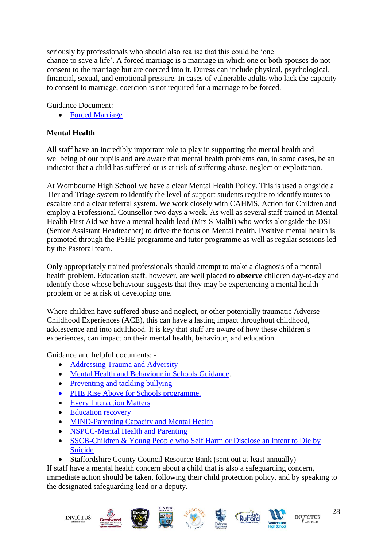seriously by professionals who should also realise that this could be 'one chance to save a life'. A forced marriage is a marriage in which one or both spouses do not consent to the marriage but are coerced into it. Duress can include physical, psychological, financial, sexual, and emotional pressure. In cases of vulnerable adults who lack the capacity to consent to marriage, coercion is not required for a marriage to be forced.

Guidance Document:

• [Forced Marriage](https://www.gov.uk/guidance/forced-marriage)

## **Mental Health**

**All** staff have an incredibly important role to play in supporting the mental health and wellbeing of our pupils and **are** aware that mental health problems can, in some cases, be an indicator that a child has suffered or is at risk of suffering abuse, neglect or exploitation.

At Wombourne High School we have a clear Mental Health Policy. This is used alongside a Tier and Triage system to identify the level of support students require to identify routes to escalate and a clear referral system. We work closely with CAHMS, Action for Children and employ a Professional Counsellor two days a week. As well as several staff trained in Mental Health First Aid we have a mental health lead (Mrs S Malhi) who works alongside the DSL (Senior Assistant Headteacher) to drive the focus on Mental health. Positive mental health is promoted through the PSHE programme and tutor programme as well as regular sessions led by the Pastoral team.

Only appropriately trained professionals should attempt to make a diagnosis of a mental health problem. Education staff, however, are well placed to **observe** children day-to-day and identify those whose behaviour suggests that they may be experiencing a mental health problem or be at risk of developing one.

Where children have suffered abuse and neglect, or other potentially traumatic Adverse Childhood Experiences (ACE), this can have a lasting impact throughout childhood, adolescence and into adulthood. It is key that staff are aware of how these children's experiences, can impact on their mental health, behaviour, and education.

Guidance and helpful documents: -

- Addressing Trauma and Adversity
- [Mental Health and Behaviour in Schools Guidance.](https://assets.publishing.service.gov.uk/government/uploads/system/uploads/attachment_data/file/755135/Mental_health_and_behaviour_in_schools__.pdf)
- [Preventing and tackling bullying](https://assets.publishing.service.gov.uk/government/uploads/system/uploads/attachment_data/file/623895/Preventing_and_tackling_bullying_advice.pdf)
- [PHE Rise Above for Schools programme.](https://www.gov.uk/government/news/phe-launches-rise-above-for-schools-programme)
- [Every Interaction Matters](https://www.minded.org.uk/Component/Details/685525)
- Education recovery
- [MIND-Parenting Capacity and Mental Health](https://www.mind.org.uk/information-support/tips-for-everyday-living/parenting-with-a-mental-health-problem/parenting-and-mental-health/)
- [NSPCC-Mental Health and Parenting](https://www.nspcc.org.uk/keeping-children-safe/support-for-parents/mental-health-parenting/)
- SSCB-Children & Young People who Self Harm or Disclose an Intent to Die by [Suicide](https://www.ssscb.org.uk/wp-content/uploads/2020/04/Section-4U-Children-and-Young-People-who-Self-Harm-or-Disclose-an-Intent-to-Die-by-Suicide.docx)
- Staffordshire County Council Resource Bank (sent out at least annually)

If staff have a mental health concern about a child that is also a safeguarding concern, immediate action should be taken, following their child protection policy, and by speaking to the designated safeguarding lead or a deputy.











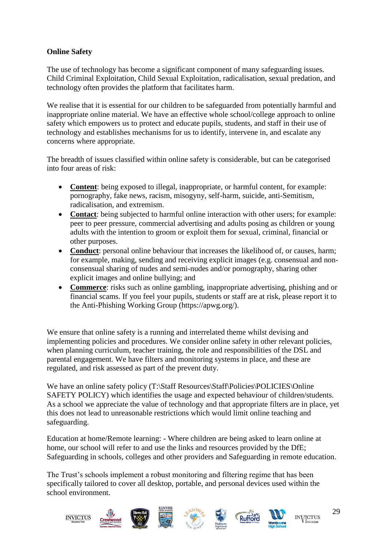## **Online Safety**

The use of technology has become a significant component of many safeguarding issues. Child Criminal Exploitation, Child Sexual Exploitation, radicalisation, sexual predation, and technology often provides the platform that facilitates harm.

We realise that it is essential for our children to be safeguarded from potentially harmful and inappropriate online material. We have an effective whole school/college approach to online safety which empowers us to protect and educate pupils, students, and staff in their use of technology and establishes mechanisms for us to identify, intervene in, and escalate any concerns where appropriate.

The breadth of issues classified within online safety is considerable, but can be categorised into four areas of risk:

- **Content**: being exposed to illegal, inappropriate, or harmful content, for example: pornography, fake news, racism, misogyny, self-harm, suicide, anti-Semitism, radicalisation, and extremism.
- **Contact**: being subjected to harmful online interaction with other users; for example: peer to peer pressure, commercial advertising and adults posing as children or young adults with the intention to groom or exploit them for sexual, criminal, financial or other purposes.
- **Conduct**: personal online behaviour that increases the likelihood of, or causes, harm; for example, making, sending and receiving explicit images (e.g. consensual and nonconsensual sharing of nudes and semi-nudes and/or pornography, sharing other explicit images and online bullying; and
- **Commerce**: risks such as online gambling, inappropriate advertising, phishing and or financial scams. If you feel your pupils, students or staff are at risk, please report it to the Anti-Phishing Working Group (https://apwg.org/).

We ensure that online safety is a running and interrelated theme whilst devising and implementing policies and procedures. We consider online safety in other relevant policies, when planning curriculum, teacher training, the role and responsibilities of the DSL and parental engagement. We have filters and monitoring systems in place, and these are regulated, and risk assessed as part of the prevent duty.

We have an online safety policy (T:\Staff Resources\Staff\Policies\POLICIES\Online SAFETY POLICY) which identifies the usage and expected behaviour of children/students. As a school we appreciate the value of technology and that appropriate filters are in place, yet this does not lead to unreasonable restrictions which would limit online teaching and safeguarding.

Education at home/Remote learning: - Where children are being asked to learn online at home, our school will refer to and use the links and resources provided by the DfE; Safeguarding in schools, colleges and other providers and Safeguarding in remote education.

The Trust's schools implement a robust monitoring and filtering regime that has been specifically tailored to cover all desktop, portable, and personal devices used within the school environment.

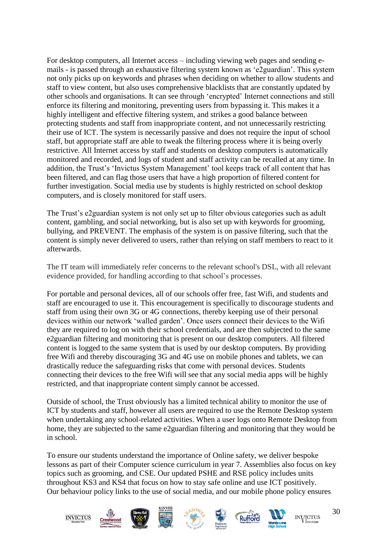For desktop computers, all Internet access – including viewing web pages and sending emails - is passed through an exhaustive filtering system known as 'e2guardian'. This system not only picks up on keywords and phrases when deciding on whether to allow students and staff to view content, but also uses comprehensive blacklists that are constantly updated by other schools and organisations. It can see through 'encrypted' Internet connections and still enforce its filtering and monitoring, preventing users from bypassing it. This makes it a highly intelligent and effective filtering system, and strikes a good balance between protecting students and staff from inappropriate content, and not unnecessarily restricting their use of ICT. The system is necessarily passive and does not require the input of school staff, but appropriate staff are able to tweak the filtering process where it is being overly restrictive. All Internet access by staff and students on desktop computers is automatically monitored and recorded, and logs of student and staff activity can be recalled at any time. In addition, the Trust's 'Invictus System Management' tool keeps track of all content that has been filtered, and can flag those users that have a high proportion of filtered content for further investigation. Social media use by students is highly restricted on school desktop computers, and is closely monitored for staff users.

The Trust's e2guardian system is not only set up to filter obvious categories such as adult content, gambling, and social networking, but is also set up with keywords for grooming, bullying, and PREVENT. The emphasis of the system is on passive filtering, such that the content is simply never delivered to users, rather than relying on staff members to react to it afterwards.

The IT team will immediately refer concerns to the relevant school's DSL, with all relevant evidence provided, for handling according to that school's processes.

For portable and personal devices, all of our schools offer free, fast Wifi, and students and staff are encouraged to use it. This encouragement is specifically to discourage students and staff from using their own 3G or 4G connections, thereby keeping use of their personal devices within our network 'walled garden'. Once users connect their devices to the Wifi they are required to log on with their school credentials, and are then subjected to the same e2guardian filtering and monitoring that is present on our desktop computers. All filtered content is logged to the same system that is used by our desktop computers. By providing free Wifi and thereby discouraging 3G and 4G use on mobile phones and tablets, we can drastically reduce the safeguarding risks that come with personal devices. Students connecting their devices to the free Wifi will see that any social media apps will be highly restricted, and that inappropriate content simply cannot be accessed.

Outside of school, the Trust obviously has a limited technical ability to monitor the use of ICT by students and staff, however all users are required to use the Remote Desktop system when undertaking any school-related activities. When a user logs onto Remote Desktop from home, they are subjected to the same e2guardian filtering and monitoring that they would be in school.

To ensure our students understand the importance of Online safety, we deliver bespoke lessons as part of their Computer science curriculum in year 7. Assemblies also focus on key topics such as grooming, and CSE. Our updated PSHE and RSE policy includes units throughout KS3 and KS4 that focus on how to stay safe online and use ICT positively. Our behaviour policy links to the use of social media, and our mobile phone policy ensures















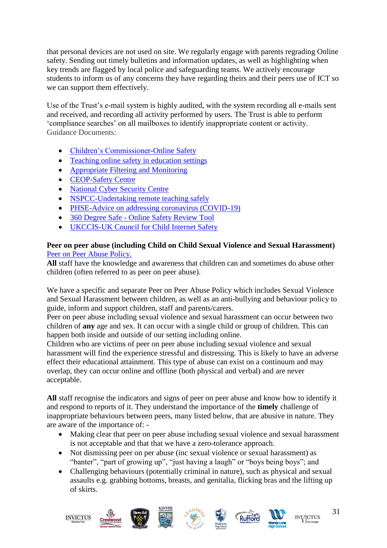that personal devices are not used on site. We regularly engage with parents regrading Online safety. Sending out timely bulletins and information updates, as well as highlighting when key trends are flagged by local police and safeguarding teams. We actively encourage students to inform us of any concerns they have regarding theirs and their peers use of ICT so we can support them effectively.

Use of the Trust's e-mail system is highly audited, with the system recording all e-mails sent and received, and recording all activity performed by users. The Trust is able to perform 'compliance searches' on all mailboxes to identify inappropriate content or activity. Guidance Documents:

- [Children's Commissioner-Online Safety](https://www.childrenscommissioner.gov.uk/?s=online+safety)
- [Teaching online safety in education settings](https://assets.publishing.service.gov.uk/government/uploads/system/uploads/attachment_data/file/811796/Teaching_online_safety_in_school.pdf)
- Appropriate Filtering and Monitoring
- [CEOP-Safety Centre](https://www.ceop.police.uk/Safety-Centre/)
- [National Cyber Security Centre](https://www.ncsc.gov.uk/)
- [NSPCC-Undertaking remote teaching safely](https://learning.nspcc.org.uk/news/covid/undertaking-remote-teaching-safely)
- [PHSE-Advice on addressing coronavirus \(COVID-19\)](https://www.pshe-association.org.uk/advice-addressing-coronavirus-covid-19-pshe)
- 360 Degree Safe [Online Safety Review Tool](https://swgfl.org.uk/products/360-degree-safe/)
- [UKCCIS-UK Council for Child Internet Safety](https://www.gov.uk/government/groups/uk-council-for-child-internet-safety-ukccis)

#### **Peer on peer abuse (including Child on Child Sexual Violence and Sexual Harassment)** [Peer on Peer Abuse Policy.](https://dbfd3b1a-cb88-4d77-9bc8-cde799ee603f.filesusr.com/ugd/f687c8_0a84d6b4dfa74fa3a4f3e6a9cc73a9dd.pdf)

**All** staff have the knowledge and awareness that children can and sometimes do abuse other children (often referred to as peer on peer abuse).

We have a specific and separate Peer on Peer Abuse Policy which includes Sexual Violence and Sexual Harassment between children, as well as an anti-bullying and behaviour policy to guide, inform and support children, staff and parents/carers.

Peer on peer abuse including sexual violence and sexual harassment can occur between two children of **any** age and sex. It can occur with a single child or group of children. This can happen both inside and outside of our setting including online.

Children who are victims of peer on peer abuse including sexual violence and sexual harassment will find the experience stressful and distressing. This is likely to have an adverse effect their educational attainment. This type of abuse can exist on a continuum and may overlap, they can occur online and offline (both physical and verbal) and are never acceptable.

**All** staff recognise the indicators and signs of peer on peer abuse and know how to identify it and respond to reports of it. They understand the importance of the **timely** challenge of inappropriate behaviours between peers, many listed below, that are abusive in nature. They are aware of the importance of: -

- Making clear that peer on peer abuse including sexual violence and sexual harassment is not acceptable and that that we have a zero-tolerance approach.
- Not dismissing peer on per abuse (inc sexual violence or sexual harassment) as "banter", "part of growing up", "just having a laugh" or "boys being boys"; and
- Challenging behaviours (potentially criminal in nature), such as physical and sexual assaults e.g. grabbing bottoms, breasts, and genitalia, flicking bras and the lifting up of skirts.













**INVICTUS**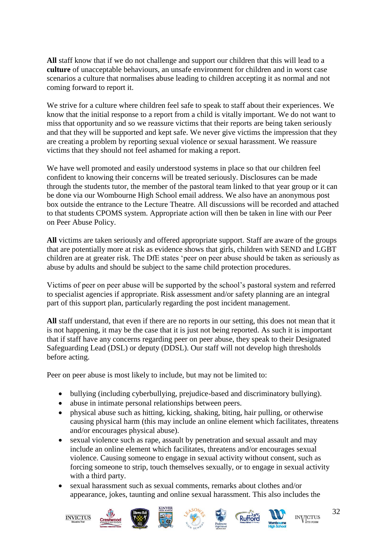**All** staff know that if we do not challenge and support our children that this will lead to a **culture** of unacceptable behaviours, an unsafe environment for children and in worst case scenarios a culture that normalises abuse leading to children accepting it as normal and not coming forward to report it.

We strive for a culture where children feel safe to speak to staff about their experiences. We know that the initial response to a report from a child is vitally important. We do not want to miss that opportunity and so we reassure victims that their reports are being taken seriously and that they will be supported and kept safe. We never give victims the impression that they are creating a problem by reporting sexual violence or sexual harassment. We reassure victims that they should not feel ashamed for making a report.

We have well promoted and easily understood systems in place so that our children feel confident to knowing their concerns will be treated seriously. Disclosures can be made through the students tutor, the member of the pastoral team linked to that year group or it can be done via our Wombourne High School email address. We also have an anonymous post box outside the entrance to the Lecture Theatre. All discussions will be recorded and attached to that students CPOMS system. Appropriate action will then be taken in line with our Peer on Peer Abuse Policy.

**All** victims are taken seriously and offered appropriate support. Staff are aware of the groups that are potentially more at risk as evidence shows that girls, children with SEND and LGBT children are at greater risk. The DfE states 'peer on peer abuse should be taken as seriously as abuse by adults and should be subject to the same child protection procedures.

Victims of peer on peer abuse will be supported by the school's pastoral system and referred to specialist agencies if appropriate. Risk assessment and/or safety planning are an integral part of this support plan, particularly regarding the post incident management.

**All** staff understand, that even if there are no reports in our setting, this does not mean that it is not happening, it may be the case that it is just not being reported. As such it is important that if staff have any concerns regarding peer on peer abuse, they speak to their Designated Safeguarding Lead (DSL) or deputy (DDSL). Our staff will not develop high thresholds before acting.

Peer on peer abuse is most likely to include, but may not be limited to:

- bullying (including cyberbullying, prejudice-based and discriminatory bullying).
- abuse in intimate personal relationships between peers.
- physical abuse such as hitting, kicking, shaking, biting, hair pulling, or otherwise causing physical harm (this may include an online element which facilitates, threatens and/or encourages physical abuse).
- sexual violence such as rape, assault by penetration and sexual assault and may include an online element which facilitates, threatens and/or encourages sexual violence. Causing someone to engage in sexual activity without consent, such as forcing someone to strip, touch themselves sexually, or to engage in sexual activity with a third party.
- sexual harassment such as sexual comments, remarks about clothes and/or appearance, jokes, taunting and online sexual harassment. This also includes the













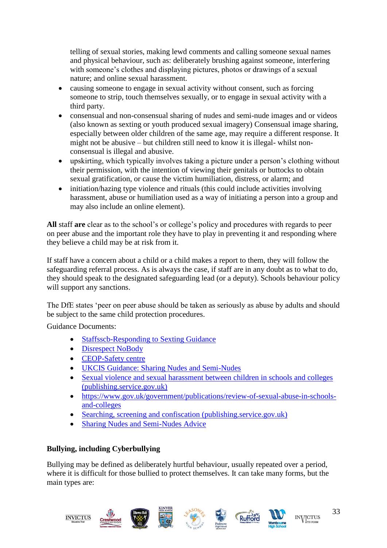telling of sexual stories, making lewd comments and calling someone sexual names and physical behaviour, such as: deliberately brushing against someone, interfering with someone's clothes and displaying pictures, photos or drawings of a sexual nature; and online sexual harassment.

- causing someone to engage in sexual activity without consent, such as forcing someone to strip, touch themselves sexually, or to engage in sexual activity with a third party.
- consensual and non-consensual sharing of nudes and semi-nude images and or videos (also known as sexting or youth produced sexual imagery) Consensual image sharing, especially between older children of the same age, may require a different response. It might not be abusive – but children still need to know it is illegal- whilst nonconsensual is illegal and abusive.
- upskirting, which typically involves taking a picture under a person's clothing without their permission, with the intention of viewing their genitals or buttocks to obtain sexual gratification, or cause the victim humiliation, distress, or alarm; and
- initiation/hazing type violence and rituals (this could include activities involving harassment, abuse or humiliation used as a way of initiating a person into a group and may also include an online element).

**All** staff **are** clear as to the school's or college's policy and procedures with regards to peer on peer abuse and the important role they have to play in preventing it and responding where they believe a child may be at risk from it.

If staff have a concern about a child or a child makes a report to them, they will follow the safeguarding referral process. As is always the case, if staff are in any doubt as to what to do, they should speak to the designated safeguarding lead (or a deputy). Schools behaviour policy will support any sanctions.

The DfE states 'peer on peer abuse should be taken as seriously as abuse by adults and should be subject to the same child protection procedures.

Guidance Documents:

- [Staffsscb-Responding to Sexting Guidance](https://www.staffsscb.org.uk/wp-content/uploads/2020/12/Responding-to-Sexting-Guidance.pdf)
- [Disrespect NoBody](https://www.disrespectnobody.co.uk/)
- [CEOP-Safety centre](https://www.ceop.police.uk/Safety-Centre/)
- [UKCIS Guidance: Sharing Nudes and Semi-Nudes](https://oursaferschools.co.uk/2021/01/13/ukcis/)
- Sexual violence and sexual harassment between children in schools and colleges [\(publishing.service.gov.uk\)](https://assets.publishing.service.gov.uk/government/uploads/system/uploads/attachment_data/file/1014224/Sexual_violence_and_sexual_harassment_between_children_in_schools_and_colleges.pdf)
- [https://www.gov.uk/government/publications/review-of-sexual-abuse-in-schools](https://www.gov.uk/government/publications/review-of-sexual-abuse-in-schools-and-colleges)[and-colleges](https://www.gov.uk/government/publications/review-of-sexual-abuse-in-schools-and-colleges)
- [Searching, screening and confiscation \(publishing.service.gov.uk\)](https://assets.publishing.service.gov.uk/government/uploads/system/uploads/attachment_data/file/674416/Searching_screening_and_confiscation.pdf)
- [Sharing Nudes and Semi-Nudes Advice](https://www.gov.uk/government/publications/sharing-nudes-and-semi-nudes-advice-for-education-settings-working-with-children-and-young-people)

## **Bullying, including Cyberbullying**

Bullying may be defined as deliberately hurtful behaviour, usually repeated over a period, where it is difficult for those bullied to protect themselves. It can take many forms, but the main types are:





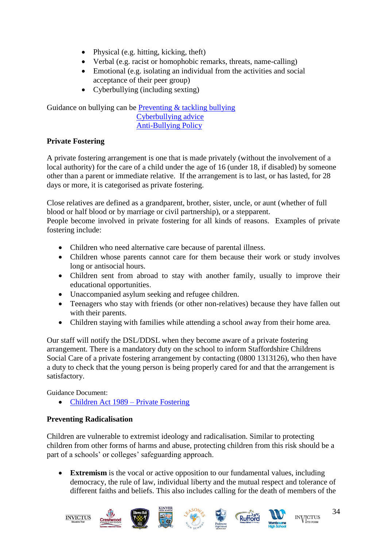- Physical (e.g. hitting, kicking, theft)
- Verbal (e.g. racist or homophobic remarks, threats, name-calling)
- Emotional (e.g. isolating an individual from the activities and social acceptance of their peer group)
- Cyberbullying (including sexting)

Guidance on bullying can be [Preventing & tackling bullying](https://www.gov.uk/government/publications/preventing-and-tackling-bullying) [Cyberbullying advice](https://assets.publishing.service.gov.uk/government/uploads/system/uploads/attachment_data/file/374850/Cyberbullying_Advice_for_Headteachers_and_School_Staff_121114.pdf) [Anti-Bullying Policy](https://dbfd3b1a-cb88-4d77-9bc8-cde799ee603f.filesusr.com/ugd/f687c8_ca9c5ebecf4c41559c5496a265683d83.pdf)

## **Private Fostering**

A private fostering arrangement is one that is made privately (without the involvement of a local authority) for the care of a child under the age of 16 (under 18, if disabled) by someone other than a parent or immediate relative. If the arrangement is to last, or has lasted, for 28 days or more, it is categorised as private fostering.

Close relatives are defined as a grandparent, brother, sister, uncle, or aunt (whether of full blood or half blood or by marriage or civil partnership), or a stepparent.

People become involved in private fostering for all kinds of reasons. Examples of private fostering include:

- Children who need alternative care because of parental illness.
- Children whose parents cannot care for them because their work or study involves long or antisocial hours.
- Children sent from abroad to stay with another family, usually to improve their educational opportunities.
- Unaccompanied asylum seeking and refugee children.
- Teenagers who stay with friends (or other non-relatives) because they have fallen out with their parents.
- Children staying with families while attending a school away from their home area.

Our staff will notify the DSL/DDSL when they become aware of a private fostering arrangement. There is a mandatory duty on the school to inform Staffordshire Childrens Social Care of a private fostering arrangement by contacting (0800 1313126), who then have a duty to check that the young person is being properly cared for and that the arrangement is satisfactory.

Guidance Document:

• [Children Act 1989 –](https://www.gov.uk/government/publications/children-act-1989-private-fostering) Private Fostering

## **Preventing Radicalisation**

Children are vulnerable to extremist ideology and radicalisation. Similar to protecting children from other forms of harms and abuse, protecting children from this risk should be a part of a schools' or colleges' safeguarding approach.

• **Extremism** is the vocal or active opposition to our fundamental values, including democracy, the rule of law, individual liberty and the mutual respect and tolerance of different faiths and beliefs. This also includes calling for the death of members of the

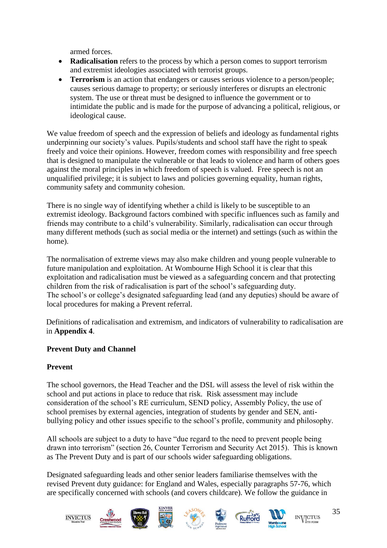armed forces.

- **Radicalisation** refers to the process by which a person comes to support terrorism and extremist ideologies associated with terrorist groups.
- **Terrorism** is an action that endangers or causes serious violence to a person/people; causes serious damage to property; or seriously interferes or disrupts an electronic system. The use or threat must be designed to influence the government or to intimidate the public and is made for the purpose of advancing a political, religious, or ideological cause.

We value freedom of speech and the expression of beliefs and ideology as fundamental rights underpinning our society's values. Pupils/students and school staff have the right to speak freely and voice their opinions. However, freedom comes with responsibility and free speech that is designed to manipulate the vulnerable or that leads to violence and harm of others goes against the moral principles in which freedom of speech is valued. Free speech is not an unqualified privilege; it is subject to laws and policies governing equality, human rights, community safety and community cohesion.

There is no single way of identifying whether a child is likely to be susceptible to an extremist ideology. Background factors combined with specific influences such as family and friends may contribute to a child's vulnerability. Similarly, radicalisation can occur through many different methods (such as social media or the internet) and settings (such as within the home).

The normalisation of extreme views may also make children and young people vulnerable to future manipulation and exploitation. At Wombourne High School it is clear that this exploitation and radicalisation must be viewed as a safeguarding concern and that protecting children from the risk of radicalisation is part of the school's safeguarding duty. The school's or college's designated safeguarding lead (and any deputies) should be aware of local procedures for making a Prevent referral.

 Definitions of radicalisation and extremism, and indicators of vulnerability to radicalisation are in **Appendix 4**.

## **Prevent Duty and Channel**

## **Prevent**

The school governors, the Head Teacher and the DSL will assess the level of risk within the school and put actions in place to reduce that risk. Risk assessment may include consideration of the school's RE curriculum, SEND policy, Assembly Policy, the use of school premises by external agencies, integration of students by gender and SEN, antibullying policy and other issues specific to the school's profile, community and philosophy.

All schools are subject to a duty to have "due regard to the need to prevent people being drawn into terrorism" (section 26, Counter Terrorism and Security Act 2015). This is known as The Prevent Duty and is part of our schools wider safeguarding obligations.

Designated safeguarding leads and other senior leaders familiarise themselves with the revised Prevent duty guidance: for England and Wales, especially paragraphs 57-76, which are specifically concerned with schools (and covers childcare). We follow the guidance in

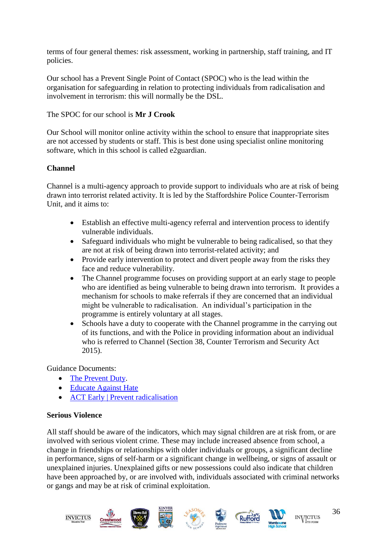terms of four general themes: risk assessment, working in partnership, staff training, and IT policies.

Our school has a Prevent Single Point of Contact (SPOC) who is the lead within the organisation for safeguarding in relation to protecting individuals from radicalisation and involvement in terrorism: this will normally be the DSL.

#### The SPOC for our school is **Mr J Crook**

Our School will monitor online activity within the school to ensure that inappropriate sites are not accessed by students or staff. This is best done using specialist online monitoring software, which in this school is called e2guardian.

#### **Channel**

Channel is a multi-agency approach to provide support to individuals who are at risk of being drawn into terrorist related activity. It is led by the Staffordshire Police Counter-Terrorism Unit, and it aims to:

- Establish an effective multi-agency referral and intervention process to identify vulnerable individuals.
- Safeguard individuals who might be vulnerable to being radicalised, so that they are not at risk of being drawn into terrorist-related activity; and
- Provide early intervention to protect and divert people away from the risks they face and reduce vulnerability.
- The Channel programme focuses on providing support at an early stage to people who are identified as being vulnerable to being drawn into terrorism. It provides a mechanism for schools to make referrals if they are concerned that an individual might be vulnerable to radicalisation. An individual's participation in the programme is entirely voluntary at all stages.
- Schools have a duty to cooperate with the Channel programme in the carrying out of its functions, and with the Police in providing information about an individual who is referred to Channel (Section 38, Counter Terrorism and Security Act 2015).

Guidance Documents:

- [The Prevent Duty.](https://www.gov.uk/government/publications/protecting-children-from-radicalisation-the-prevent-duty)
- [Educate Against Hate](https://educateagainsthate.com/)
- [ACT Early | Prevent radicalisation](https://actearly.uk/)

#### **Serious Violence**

All staff should be aware of the indicators, which may signal children are at risk from, or are involved with serious violent crime. These may include increased absence from school, a change in friendships or relationships with older individuals or groups, a significant decline in performance, signs of self-harm or a significant change in wellbeing, or signs of assault or unexplained injuries. Unexplained gifts or new possessions could also indicate that children have been approached by, or are involved with, individuals associated with criminal networks or gangs and may be at risk of criminal exploitation.

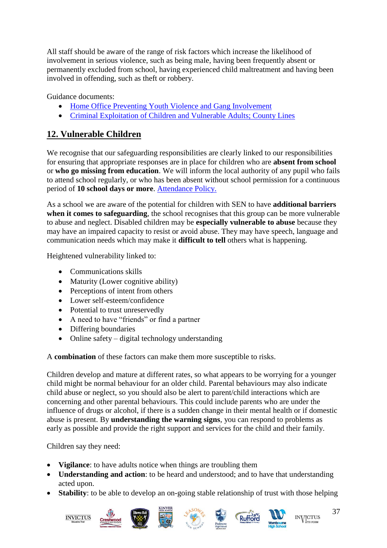All staff should be aware of the range of risk factors which increase the likelihood of involvement in serious violence, such as being male, having been frequently absent or permanently excluded from school, having experienced child maltreatment and having been involved in offending, such as theft or robbery.

Guidance documents:

- [Home Office Preventing Youth Violence and Gang Involvement](https://www.gov.uk/government/publications/advice-to-schools-and-colleges-on-gangs-and-youth-violence)
- [Criminal Exploitation of Children and Vulnerable Adults; County Lines](https://www.gov.uk/government/publications/criminal-exploitation-of-children-and-vulnerable-adults-county-lines)

# <span id="page-36-0"></span>**12. Vulnerable Children**

We recognise that our safeguarding responsibilities are clearly linked to our responsibilities for ensuring that appropriate responses are in place for children who are **absent from school** or **who go missing from education**. We will inform the local authority of any pupil who fails to attend school regularly, or who has been absent without school permission for a continuous period of **10 school days or more**. [Attendance Policy.](https://dbfd3b1a-cb88-4d77-9bc8-cde799ee603f.filesusr.com/ugd/f687c8_7c1c69d95ce243afba0140ff7c2b5dc7.pdf)

As a school we are aware of the potential for children with SEN to have **additional barriers when it comes to safeguarding**, the school recognises that this group can be more vulnerable to abuse and neglect. Disabled children may be **especially vulnerable to abuse** because they may have an impaired capacity to resist or avoid abuse. They may have speech, language and communication needs which may make it **difficult to tell** others what is happening.

Heightened vulnerability linked to:

- Communications skills
- Maturity (Lower cognitive ability)
- Perceptions of intent from others
- Lower self-esteem/confidence
- Potential to trust unreservedly
- A need to have "friends" or find a partner
- Differing boundaries
- Online safety digital technology understanding

A **combination** of these factors can make them more susceptible to risks.

Children develop and mature at different rates, so what appears to be worrying for a younger child might be normal behaviour for an older child. Parental behaviours may also indicate child abuse or neglect, so you should also be alert to parent/child interactions which are concerning and other parental behaviours. This could include parents who are under the influence of drugs or alcohol, if there is a sudden change in their mental health or if domestic abuse is present. By **understanding the warning signs**, you can respond to problems as early as possible and provide the right support and services for the child and their family.

Children say they need:

- **Vigilance**: to have adults notice when things are troubling them
- **Understanding and action**: to be heard and understood; and to have that understanding acted upon.
- **Stability**: to be able to develop an on-going stable relationship of trust with those helping















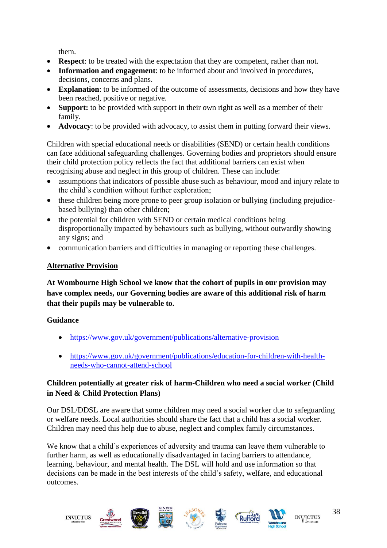them.

- **Respect**: to be treated with the expectation that they are competent, rather than not.
- **Information and engagement**: to be informed about and involved in procedures, decisions, concerns and plans.
- **Explanation**: to be informed of the outcome of assessments, decisions and how they have been reached, positive or negative.
- **Support:** to be provided with support in their own right as well as a member of their family.
- **Advocacy**: to be provided with advocacy, to assist them in putting forward their views.

Children with special educational needs or disabilities (SEND) or certain health conditions can face additional safeguarding challenges. Governing bodies and proprietors should ensure their child protection policy reflects the fact that additional barriers can exist when recognising abuse and neglect in this group of children. These can include:

- assumptions that indicators of possible abuse such as behaviour, mood and injury relate to the child's condition without further exploration;
- these children being more prone to peer group isolation or bullying (including prejudicebased bullying) than other children;
- the potential for children with SEND or certain medical conditions being disproportionally impacted by behaviours such as bullying, without outwardly showing any signs; and
- communication barriers and difficulties in managing or reporting these challenges.

## **Alternative Provision**

**At Wombourne High School we know that the cohort of pupils in our provision may have complex needs, our Governing bodies are aware of this additional risk of harm that their pupils may be vulnerable to.** 

## **Guidance**

- <https://www.gov.uk/government/publications/alternative-provision>
- [https://www.gov.uk/government/publications/education-for-children-with-health](https://www.gov.uk/government/publications/education-for-children-with-health-needs-who-cannot-attend-school)[needs-who-cannot-attend-school](https://www.gov.uk/government/publications/education-for-children-with-health-needs-who-cannot-attend-school)

## **Children potentially at greater risk of harm-Children who need a social worker (Child in Need & Child Protection Plans)**

Our DSL/DDSL are aware that some children may need a social worker due to safeguarding or welfare needs. Local authorities should share the fact that a child has a social worker. Children may need this help due to abuse, neglect and complex family circumstances.

We know that a child's experiences of adversity and trauma can leave them vulnerable to further harm, as well as educationally disadvantaged in facing barriers to attendance, learning, behaviour, and mental health. The DSL will hold and use information so that decisions can be made in the best interests of the child's safety, welfare, and educational outcomes.

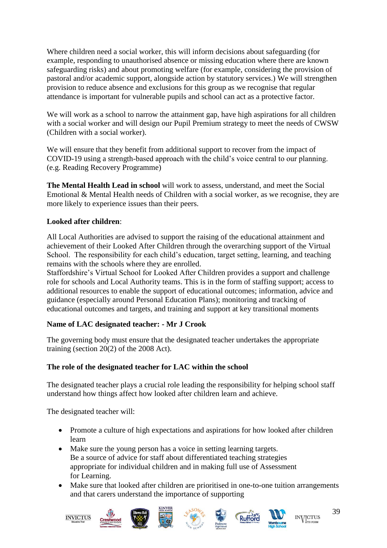Where children need a social worker, this will inform decisions about safeguarding (for example, responding to unauthorised absence or missing education where there are known safeguarding risks) and about promoting welfare (for example, considering the provision of pastoral and/or academic support, alongside action by statutory services.) We will strengthen provision to reduce absence and exclusions for this group as we recognise that regular attendance is important for vulnerable pupils and school can act as a protective factor.

We will work as a school to narrow the attainment gap, have high aspirations for all children with a social worker and will design our Pupil Premium strategy to meet the needs of CWSW (Children with a social worker).

We will ensure that they benefit from additional support to recover from the impact of COVID-19 using a strength-based approach with the child's voice central to our planning. (e.g. Reading Recovery Programme)

**The Mental Health Lead in school** will work to assess, understand, and meet the Social Emotional & Mental Health needs of Children with a social worker, as we recognise, they are more likely to experience issues than their peers.

## **Looked after children**:

All Local Authorities are advised to support the raising of the educational attainment and achievement of their Looked After Children through the overarching support of the Virtual School. The responsibility for each child's education, target setting, learning, and teaching remains with the schools where they are enrolled.

Staffordshire's Virtual School for Looked After Children provides a support and challenge role for schools and Local Authority teams. This is in the form of staffing support; access to additional resources to enable the support of educational outcomes; information, advice and guidance (especially around Personal Education Plans); monitoring and tracking of educational outcomes and targets, and training and support at key transitional moments

#### **Name of LAC designated teacher: - Mr J Crook**

The governing body must ensure that the designated teacher undertakes the appropriate training (section 20(2) of the 2008 Act).

#### **The role of the designated teacher for LAC within the school**

The designated teacher plays a crucial role leading the responsibility for helping school staff understand how things affect how looked after children learn and achieve.

The designated teacher will:

- Promote a culture of high expectations and aspirations for how looked after children learn
- Make sure the young person has a voice in setting learning targets. Be a source of advice for staff about differentiated teaching strategies appropriate for individual children and in making full use of Assessment for Learning.
- Make sure that looked after children are prioritised in one-to-one tuition arrangements and that carers understand the importance of supporting















39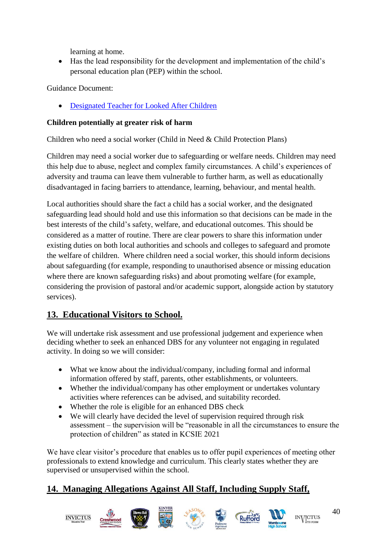learning at home.

• Has the lead responsibility for the development and implementation of the child's personal education plan (PEP) within the school.

Guidance Document:

• [Designated Teacher for Looked After Children](https://www.gov.uk/government/publications/designated-teacher-for-looked-after-children)

## **Children potentially at greater risk of harm**

Children who need a social worker (Child in Need & Child Protection Plans)

Children may need a social worker due to safeguarding or welfare needs. Children may need this help due to abuse, neglect and complex family circumstances. A child's experiences of adversity and trauma can leave them vulnerable to further harm, as well as educationally disadvantaged in facing barriers to attendance, learning, behaviour, and mental health.

Local authorities should share the fact a child has a social worker, and the designated safeguarding lead should hold and use this information so that decisions can be made in the best interests of the child's safety, welfare, and educational outcomes. This should be considered as a matter of routine. There are clear powers to share this information under existing duties on both local authorities and schools and colleges to safeguard and promote the welfare of children. Where children need a social worker, this should inform decisions about safeguarding (for example, responding to unauthorised absence or missing education where there are known safeguarding risks) and about promoting welfare (for example, considering the provision of pastoral and/or academic support, alongside action by statutory services).

# <span id="page-39-0"></span>**13. Educational Visitors to School.**

We will undertake risk assessment and use professional judgement and experience when deciding whether to seek an enhanced DBS for any volunteer not engaging in regulated activity. In doing so we will consider:

- What we know about the individual/company, including formal and informal information offered by staff, parents, other establishments, or volunteers.
- Whether the individual/company has other employment or undertakes voluntary activities where references can be advised, and suitability recorded.
- Whether the role is eligible for an enhanced DBS check
- We will clearly have decided the level of supervision required through risk assessment – the supervision will be "reasonable in all the circumstances to ensure the protection of children" as stated in KCSIE 2021

We have clear visitor's procedure that enables us to offer pupil experiences of meeting other professionals to extend knowledge and curriculum. This clearly states whether they are supervised or unsupervised within the school.

# <span id="page-39-1"></span>**14. Managing Allegations Against All Staff, Including Supply Staff,**













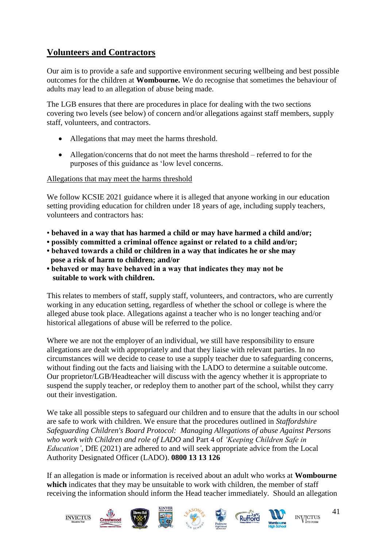# **Volunteers and Contractors**

Our aim is to provide a safe and supportive environment securing wellbeing and best possible outcomes for the children at **Wombourne.** We do recognise that sometimes the behaviour of adults may lead to an allegation of abuse being made.

The LGB ensures that there are procedures in place for dealing with the two sections covering two levels (see below) of concern and/or allegations against staff members, supply staff, volunteers, and contractors.

- Allegations that may meet the harms threshold.
- Allegation/concerns that do not meet the harms threshold referred to for the purposes of this guidance as 'low level concerns.

Allegations that may meet the harms threshold

We follow KCSIE 2021 guidance where it is alleged that anyone working in our education setting providing education for children under 18 years of age, including supply teachers, volunteers and contractors has:

- **behaved in a way that has harmed a child or may have harmed a child and/or;**
- **possibly committed a criminal offence against or related to a child and/or;**
- **behaved towards a child or children in a way that indicates he or she may pose a risk of harm to children; and/or**
- **behaved or may have behaved in a way that indicates they may not be suitable to work with children.**

This relates to members of staff, supply staff, volunteers, and contractors, who are currently working in any education setting, regardless of whether the school or college is where the alleged abuse took place. Allegations against a teacher who is no longer teaching and/or historical allegations of abuse will be referred to the police.

Where we are not the employer of an individual, we still have responsibility to ensure allegations are dealt with appropriately and that they liaise with relevant parties. In no circumstances will we decide to cease to use a supply teacher due to safeguarding concerns, without finding out the facts and liaising with the LADO to determine a suitable outcome. Our proprietor/LGB/Headteacher will discuss with the agency whether it is appropriate to suspend the supply teacher, or redeploy them to another part of the school, whilst they carry out their investigation.

We take all possible steps to safeguard our children and to ensure that the adults in our school are safe to work with children. We ensure that the procedures outlined in *Staffordshire Safeguarding Children's Board Protocol: Managing Allegations of abuse Against Persons who work with Children and role of LADO* and Part 4 of *'Keeping Children Safe in Education'*, DfE (2021) are adhered to and will seek appropriate advice from the Local Authority Designated Officer (LADO). **0800 13 13 126**

If an allegation is made or information is received about an adult who works at **Wombourne** which indicates that they may be unsuitable to work with children, the member of staff receiving the information should inform the Head teacher immediately. Should an allegation



![](_page_40_Picture_16.jpeg)

![](_page_40_Picture_17.jpeg)

41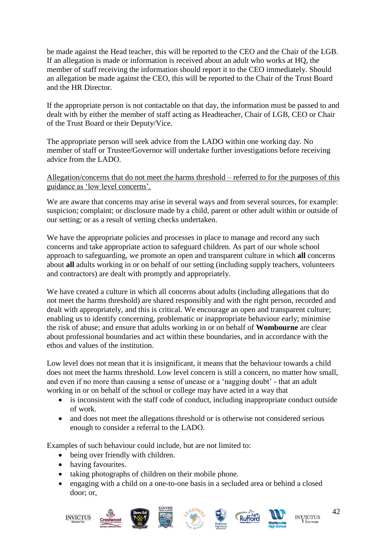be made against the Head teacher, this will be reported to the CEO and the Chair of the LGB. If an allegation is made or information is received about an adult who works at HQ, the member of staff receiving the information should report it to the CEO immediately. Should an allegation be made against the CEO, this will be reported to the Chair of the Trust Board and the HR Director.

If the appropriate person is not contactable on that day, the information must be passed to and dealt with by either the member of staff acting as Headteacher, Chair of LGB, CEO or Chair of the Trust Board or their Deputy/Vice.

The appropriate person will seek advice from the LADO within one working day. No member of staff or Trustee/Governor will undertake further investigations before receiving advice from the LADO.

#### Allegation/concerns that do not meet the harms threshold – referred to for the purposes of this guidance as 'low level concerns'.

We are aware that concerns may arise in several ways and from several sources, for example: suspicion; complaint; or disclosure made by a child, parent or other adult within or outside of our setting; or as a result of vetting checks undertaken.

We have the appropriate policies and processes in place to manage and record any such concerns and take appropriate action to safeguard children. As part of our whole school approach to safeguarding, we promote an open and transparent culture in which **all** concerns about **all** adults working in or on behalf of our setting (including supply teachers, volunteers and contractors) are dealt with promptly and appropriately.

We have created a culture in which all concerns about adults (including allegations that do not meet the harms threshold) are shared responsibly and with the right person, recorded and dealt with appropriately, and this is critical. We encourage an open and transparent culture; enabling us to identify concerning, problematic or inappropriate behaviour early; minimise the risk of abuse; and ensure that adults working in or on behalf of **Wombourne** are clear about professional boundaries and act within these boundaries, and in accordance with the ethos and values of the institution.

Low level does not mean that it is insignificant, it means that the behaviour towards a child does not meet the harms threshold. Low level concern is still a concern, no matter how small, and even if no more than causing a sense of unease or a 'nagging doubt' - that an adult working in or on behalf of the school or college may have acted in a way that

- is inconsistent with the staff code of conduct, including inappropriate conduct outside of work.
- and does not meet the allegations threshold or is otherwise not considered serious enough to consider a referral to the LADO.

Examples of such behaviour could include, but are not limited to:

- being over friendly with children.
- having favourites.
- taking photographs of children on their mobile phone.
- engaging with a child on a one-to-one basis in a secluded area or behind a closed door; or,

![](_page_41_Picture_15.jpeg)

![](_page_41_Picture_16.jpeg)

![](_page_41_Picture_17.jpeg)

![](_page_41_Picture_18.jpeg)

![](_page_41_Picture_19.jpeg)

![](_page_41_Picture_20.jpeg)

![](_page_41_Picture_21.jpeg)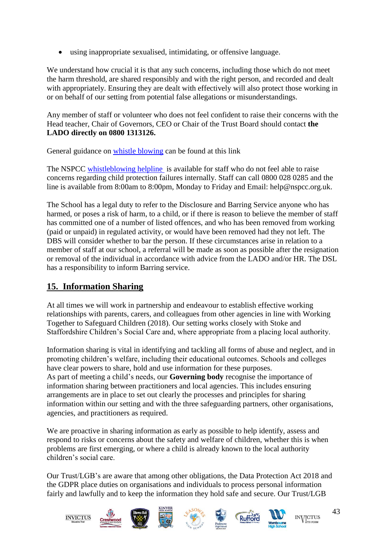• using inappropriate sexualised, intimidating, or offensive language.

We understand how crucial it is that any such concerns, including those which do not meet the harm threshold, are shared responsibly and with the right person, and recorded and dealt with appropriately. Ensuring they are dealt with effectively will also protect those working in or on behalf of our setting from potential false allegations or misunderstandings.

Any member of staff or volunteer who does not feel confident to raise their concerns with the Head teacher, Chair of Governors, CEO or Chair of the Trust Board should contact **the LADO directly on 0800 1313126.**

General guidance on [whistle blowing](https://www.gov.uk/whistleblowing) can be found at this link

The NSPCC [whistleblowing helpline](https://www.gov.uk/government/news/home-office-launches-child-abuse-whistleblowing-helpline) is available for staff who do not feel able to raise concerns regarding child protection failures internally. Staff can call 0800 028 0285 and the line is available from 8:00am to 8:00pm, Monday to Friday and Email: help@nspcc.org.uk.

The School has a legal duty to refer to the Disclosure and Barring Service anyone who has harmed, or poses a risk of harm, to a child, or if there is reason to believe the member of staff has committed one of a number of listed offences, and who has been removed from working (paid or unpaid) in regulated activity, or would have been removed had they not left. The DBS will consider whether to bar the person. If these circumstances arise in relation to a member of staff at our school, a referral will be made as soon as possible after the resignation or removal of the individual in accordance with advice from the LADO and/or HR. The DSL has a responsibility to inform Barring service.

# <span id="page-42-0"></span>**15. Information Sharing**

At all times we will work in partnership and endeavour to establish effective working relationships with parents, carers, and colleagues from other agencies in line with Working Together to Safeguard Children (2018). Our setting works closely with Stoke and Staffordshire Children's Social Care and, where appropriate from a placing local authority.

Information sharing is vital in identifying and tackling all forms of abuse and neglect, and in promoting children's welfare, including their educational outcomes. Schools and colleges have clear powers to share, hold and use information for these purposes. As part of meeting a child's needs, our **Governing body** recognise the importance of information sharing between practitioners and local agencies. This includes ensuring arrangements are in place to set out clearly the processes and principles for sharing information within our setting and with the three safeguarding partners, other organisations, agencies, and practitioners as required.

We are proactive in sharing information as early as possible to help identify, assess and respond to risks or concerns about the safety and welfare of children, whether this is when problems are first emerging, or where a child is already known to the local authority children's social care.

Our Trust/LGB's are aware that among other obligations, the Data Protection Act 2018 and the GDPR place duties on organisations and individuals to process personal information fairly and lawfully and to keep the information they hold safe and secure. Our Trust/LGB

![](_page_42_Picture_11.jpeg)

![](_page_42_Picture_12.jpeg)

![](_page_42_Picture_13.jpeg)

![](_page_42_Picture_14.jpeg)

![](_page_42_Picture_15.jpeg)

![](_page_42_Picture_16.jpeg)

![](_page_42_Picture_17.jpeg)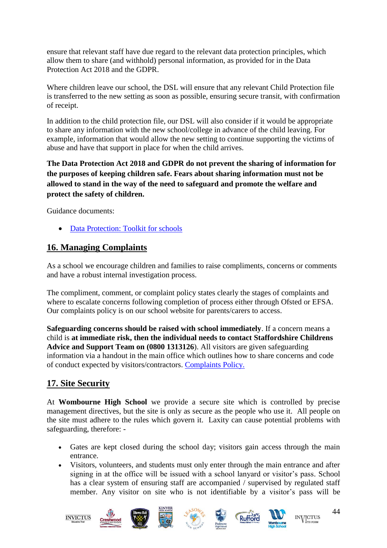ensure that relevant staff have due regard to the relevant data protection principles, which allow them to share (and withhold) personal information, as provided for in the Data Protection Act 2018 and the GDPR.

Where children leave our school, the DSL will ensure that any relevant Child Protection file is transferred to the new setting as soon as possible, ensuring secure transit, with confirmation of receipt.

In addition to the child protection file, our DSL will also consider if it would be appropriate to share any information with the new school/college in advance of the child leaving. For example, information that would allow the new setting to continue supporting the victims of abuse and have that support in place for when the child arrives.

**The Data Protection Act 2018 and GDPR do not prevent the sharing of information for the purposes of keeping children safe. Fears about sharing information must not be allowed to stand in the way of the need to safeguard and promote the welfare and protect the safety of children.**

Guidance documents:

• [Data Protection: Toolkit for schools](https://assets.publishing.service.gov.uk/government/uploads/system/uploads/attachment_data/file/747620/Data_Protection_Toolkit_for_Schools_OpenBeta.pdf)

## <span id="page-43-0"></span>**16. Managing Complaints**

As a school we encourage children and families to raise compliments, concerns or comments and have a robust internal investigation process.

The compliment, comment, or complaint policy states clearly the stages of complaints and where to escalate concerns following completion of process either through Ofsted or EFSA. Our complaints policy is on our school website for parents/carers to access.

**Safeguarding concerns should be raised with school immediately**. If a concern means a child is **at immediate risk, then the individual needs to contact Staffordshire Childrens Advice and Support Team on (0800 1313126**). All visitors are given safeguarding information via a handout in the main office which outlines how to share concerns and code of conduct expected by visitors/contractors. [Complaints Policy.](https://ca06f112-6cce-425d-a06e-95334a4fd456.filesusr.com/ugd/cce313_ac1bede4bfb44fbe975a9ef2bc364722.pdf) 

## <span id="page-43-1"></span>**17. Site Security**

At **Wombourne High School** we provide a secure site which is controlled by precise management directives, but the site is only as secure as the people who use it. All people on the site must adhere to the rules which govern it. Laxity can cause potential problems with safeguarding, therefore: -

- Gates are kept closed during the school day; visitors gain access through the main entrance.
- Visitors, volunteers, and students must only enter through the main entrance and after signing in at the office will be issued with a school lanyard or visitor's pass. School has a clear system of ensuring staff are accompanied / supervised by regulated staff member. Any visitor on site who is not identifiable by a visitor's pass will be

![](_page_43_Picture_14.jpeg)

![](_page_43_Picture_15.jpeg)

![](_page_43_Picture_16.jpeg)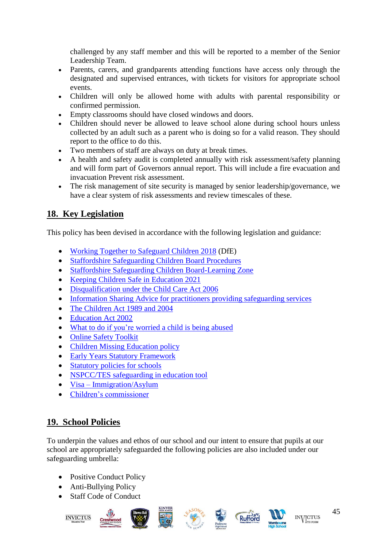challenged by any staff member and this will be reported to a member of the Senior Leadership Team.

- Parents, carers, and grandparents attending functions have access only through the designated and supervised entrances, with tickets for visitors for appropriate school events.
- Children will only be allowed home with adults with parental responsibility or confirmed permission.
- Empty classrooms should have closed windows and doors.
- Children should never be allowed to leave school alone during school hours unless collected by an adult such as a parent who is doing so for a valid reason. They should report to the office to do this.
- Two members of staff are always on duty at break times.
- A health and safety audit is completed annually with risk assessment/safety planning and will form part of Governors annual report. This will include a fire evacuation and invacuation Prevent risk assessment.
- The risk management of site security is managed by senior leadership/governance, we have a clear system of risk assessments and review timescales of these.

# <span id="page-44-0"></span>**18. Key Legislation**

This policy has been devised in accordance with the following legislation and guidance:

- [Working Together to Safeguard Children 2018](https://www.gov.uk/government/publications/working-together-to-safeguard-children--2) (DfE)
- [Staffordshire Safeguarding Children Board Procedures](http://www.staffsscb.org.uk/professionals/procedures/)
- [Staffordshire Safeguarding Children Board-Learning Zone](https://www.staffsscb.org.uk/learning-zone/)
- [Keeping Children Safe in Education 2021](https://assets.publishing.service.gov.uk/government/uploads/system/uploads/attachment_data/file/1007260/Keeping_children_safe_in_education_2021.pdf)
- [Disqualification under the Child Care Act 2006](https://www.gov.uk/government/publications/disqualification-under-the-childcare-act-2006)
- [Information Sharing Advice for practitioners providing safeguarding services](https://www.gov.uk/government/publications/safeguarding-practitioners-information-sharing-advice)
- [The Children Act 1989 and 2004](https://assets.publishing.service.gov.uk/government/uploads/system/uploads/attachment_data/file/1000549/The_Children_Act_1989_guidance_and_regulations_Volume_2_care_planning__placement_and_case_review.pdf)
- [Education Act 2002](https://www.gov.uk/government/publications/relationships-education-relationships-and-sex-education-rse-and-health-education/about-this-guidance)
- What to do if you're [worried a child is being abused](https://www.gov.uk/government/publications/what-to-do-if-youre-worried-a-child-is-being-abused)
- [Online Safety Toolkit](https://www.staffordshire.gov.uk/Education/Learning-options-and-careers/Getting-the-best-out-of-school/Staying-safe-online.aspx)
- [Children Missing Education policy](https://www.staffordshire.gov.uk/Education/Education-welfare/Children-missing-from-education-policy.aspx)
- [Early Years Statutory Framework](https://www.gov.uk/government/publications/early-years-foundation-stage-framework--2)
- [Statutory policies for schools](https://www.gov.uk/government/uploads/system/uploads/attachment_data/file/357068/statutory_schools_policies_Sept_14_FINAL.pdf)
- [NSPCC/TES safeguarding in education tool](https://learning.nspcc.org.uk/research-resources/2019/safeguarding-child-protection-standards)
- Visa [Immigration/Asylum](https://www.gov.uk/browse/visas-immigration/asylum)
- [Children's commissioner](http://www.childrenscommissioner.gov.uk/publications)

# <span id="page-44-1"></span>**19. School Policies**

To underpin the values and ethos of our school and our intent to ensure that pupils at our school are appropriately safeguarded the following policies are also included under our safeguarding umbrella:

- Positive Conduct Policy
- Anti-Bullying Policy
- Staff Code of Conduct

![](_page_44_Picture_31.jpeg)

![](_page_44_Picture_32.jpeg)

![](_page_44_Picture_33.jpeg)

![](_page_44_Picture_34.jpeg)

![](_page_44_Picture_35.jpeg)

![](_page_44_Picture_36.jpeg)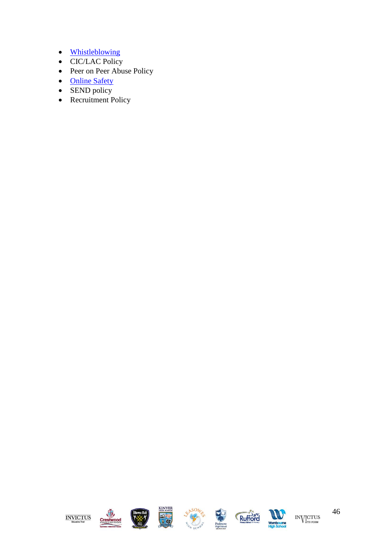- [Whistleblowing](file://///inv-svr-fs01/Shared/Staff%20Resources/Staff/Policies/POLICIES/Whistleblowing%20Policy%20April%202021.pdf)
- CIC/LAC Policy
- Peer on Peer Abuse Policy
- [Online Safety](file://///inv-svr-fs01/Shared/Staff%20Resources/Staff/Policies/POLICIES/Online%20Safety%20Policy%20September%202021.pdf)
- SEND policy
- Recruitment Policy

![](_page_45_Picture_6.jpeg)

![](_page_45_Picture_7.jpeg)

![](_page_45_Picture_8.jpeg)

![](_page_45_Picture_9.jpeg)

![](_page_45_Picture_10.jpeg)

![](_page_45_Picture_11.jpeg)

![](_page_45_Picture_12.jpeg)

46  $\rm{IN}\rm{V}\rm{T}_{\rm{th\;FORM}}^{\rm{CTUS}}$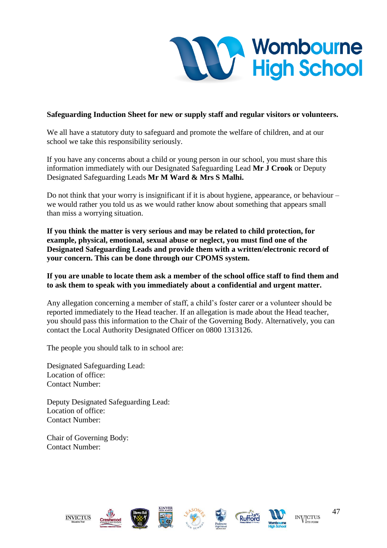![](_page_46_Picture_0.jpeg)

#### **Safeguarding Induction Sheet for new or supply staff and regular visitors or volunteers.**

We all have a statutory duty to safeguard and promote the welfare of children, and at our school we take this responsibility seriously.

If you have any concerns about a child or young person in our school, you must share this information immediately with our Designated Safeguarding Lead **Mr J Crook** or Deputy Designated Safeguarding Leads **Mr M Ward & Mrs S Malhi.**

Do not think that your worry is insignificant if it is about hygiene, appearance, or behaviour – we would rather you told us as we would rather know about something that appears small than miss a worrying situation.

**If you think the matter is very serious and may be related to child protection, for example, physical, emotional, sexual abuse or neglect, you must find one of the Designated Safeguarding Leads and provide them with a written/electronic record of your concern. This can be done through our CPOMS system.** 

#### **If you are unable to locate them ask a member of the school office staff to find them and to ask them to speak with you immediately about a confidential and urgent matter.**

Any allegation concerning a member of staff, a child's foster carer or a volunteer should be reported immediately to the Head teacher. If an allegation is made about the Head teacher, you should pass this information to the Chair of the Governing Body. Alternatively, you can contact the Local Authority Designated Officer on 0800 1313126.

The people you should talk to in school are:

Designated Safeguarding Lead: Location of office: Contact Number:

Deputy Designated Safeguarding Lead: Location of office: Contact Number:

Chair of Governing Body: Contact Number:

![](_page_46_Picture_12.jpeg)

![](_page_46_Picture_13.jpeg)

![](_page_46_Picture_14.jpeg)

![](_page_46_Picture_15.jpeg)

![](_page_46_Picture_16.jpeg)

![](_page_46_Picture_17.jpeg)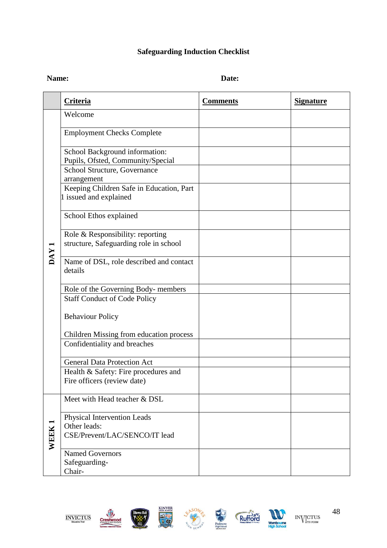# **Safeguarding Induction Checklist**

## Name: Date:

|                  | <b>Criteria</b>                                                              | <b>Comments</b> | <b>Signature</b> |
|------------------|------------------------------------------------------------------------------|-----------------|------------------|
| DAY <sub>1</sub> | Welcome                                                                      |                 |                  |
|                  | <b>Employment Checks Complete</b>                                            |                 |                  |
|                  | School Background information:<br>Pupils, Ofsted, Community/Special          |                 |                  |
|                  | School Structure, Governance<br>arrangement                                  |                 |                  |
|                  | Keeping Children Safe in Education, Part<br>1 issued and explained           |                 |                  |
|                  | School Ethos explained                                                       |                 |                  |
|                  | Role & Responsibility: reporting<br>structure, Safeguarding role in school   |                 |                  |
|                  | Name of DSL, role described and contact<br>details                           |                 |                  |
|                  | Role of the Governing Body- members<br><b>Staff Conduct of Code Policy</b>   |                 |                  |
|                  | <b>Behaviour Policy</b>                                                      |                 |                  |
|                  | <b>Children Missing from education process</b>                               |                 |                  |
|                  | Confidentiality and breaches                                                 |                 |                  |
|                  | <b>General Data Protection Act</b><br>Health & Safety: Fire procedures and   |                 |                  |
|                  | Fire officers (review date)                                                  |                 |                  |
| <b>WEEK1</b>     | Meet with Head teacher & DSL                                                 |                 |                  |
|                  | Physical Intervention Leads<br>Other leads:<br>CSE/Prevent/LAC/SENCO/IT lead |                 |                  |
|                  | <b>Named Governors</b><br>Safeguarding-<br>Chair-                            |                 |                  |

![](_page_47_Picture_4.jpeg)

![](_page_47_Picture_5.jpeg)

![](_page_47_Picture_6.jpeg)

![](_page_47_Picture_7.jpeg)

![](_page_47_Picture_8.jpeg)

 $\rm{IN}\rm{V}\rm{T}_{\rm{th\;FORM}}^{\rm{CTUS}}$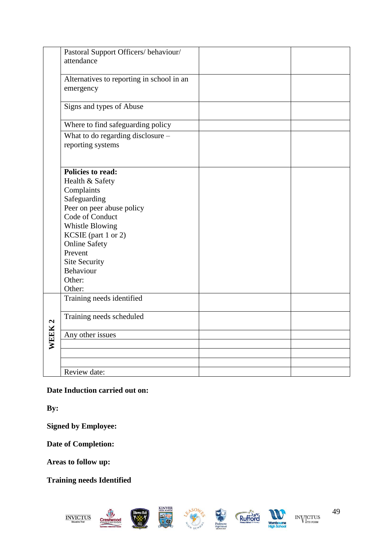|        | Pastoral Support Officers/behaviour/<br>attendance                                                                                           |  |
|--------|----------------------------------------------------------------------------------------------------------------------------------------------|--|
|        | Alternatives to reporting in school in an<br>emergency                                                                                       |  |
|        | Signs and types of Abuse                                                                                                                     |  |
|        | Where to find safeguarding policy                                                                                                            |  |
|        | What to do regarding disclosure -<br>reporting systems                                                                                       |  |
|        | <b>Policies to read:</b><br>Health & Safety<br>Complaints<br>Safeguarding<br>Peer on peer abuse policy<br>Code of Conduct<br>Whistle Blowing |  |
|        | KCSIE (part 1 or 2)<br><b>Online Safety</b><br>Prevent<br><b>Site Security</b><br>Behaviour<br>Other:<br>Other:                              |  |
|        | Training needs identified                                                                                                                    |  |
|        | Training needs scheduled                                                                                                                     |  |
| WEEK 2 | Any other issues                                                                                                                             |  |
|        |                                                                                                                                              |  |
|        |                                                                                                                                              |  |
|        | Review date:                                                                                                                                 |  |

## **Date Induction carried out on:**

**By:**

**Signed by Employee:**

**Date of Completion:**

**Areas to follow up:**

**Training needs Identified**

![](_page_48_Picture_7.jpeg)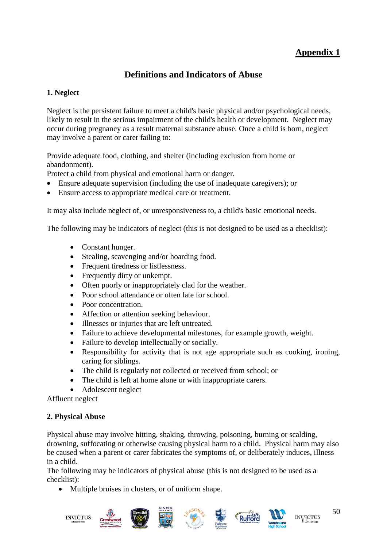# **Appendix 1**

# **Definitions and Indicators of Abuse**

#### <span id="page-49-0"></span>**1. Neglect**

Neglect is the persistent failure to meet a child's basic physical and/or psychological needs, likely to result in the serious impairment of the child's health or development. Neglect may occur during pregnancy as a result maternal substance abuse. Once a child is born, neglect may involve a parent or carer failing to:

Provide adequate food, clothing, and shelter (including exclusion from home or abandonment).

Protect a child from physical and emotional harm or danger.

- Ensure adequate supervision (including the use of inadequate caregivers); or
- Ensure access to appropriate medical care or treatment.

It may also include neglect of, or unresponsiveness to, a child's basic emotional needs.

The following may be indicators of neglect (this is not designed to be used as a checklist):

- Constant hunger.
- Stealing, scavenging and/or hoarding food.
- Frequent tiredness or listlessness.
- Frequently dirty or unkempt.
- Often poorly or inappropriately clad for the weather.
- Poor school attendance or often late for school.
- Poor concentration.
- Affection or attention seeking behaviour.
- Illnesses or injuries that are left untreated.
- Failure to achieve developmental milestones, for example growth, weight.
- Failure to develop intellectually or socially.
- Responsibility for activity that is not age appropriate such as cooking, ironing, caring for siblings.
- The child is regularly not collected or received from school; or
- The child is left at home alone or with inappropriate carers.
- Adolescent neglect

Affluent neglect

#### **2. Physical Abuse**

Physical abuse may involve hitting, shaking, throwing, poisoning, burning or scalding, drowning, suffocating or otherwise causing physical harm to a child. Physical harm may also be caused when a parent or carer fabricates the symptoms of, or deliberately induces, illness in a child.

The following may be indicators of physical abuse (this is not designed to be used as a checklist):

• Multiple bruises in clusters, or of uniform shape.

![](_page_49_Picture_30.jpeg)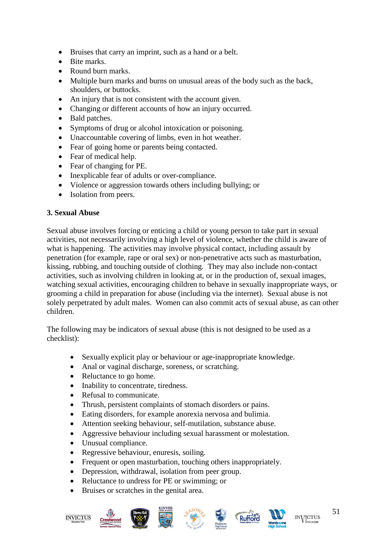- Bruises that carry an imprint, such as a hand or a belt.
- Bite marks.
- Round burn marks.
- Multiple burn marks and burns on unusual areas of the body such as the back, shoulders, or buttocks.
- An injury that is not consistent with the account given.
- Changing or different accounts of how an injury occurred.
- Bald patches.
- Symptoms of drug or alcohol intoxication or poisoning.
- Unaccountable covering of limbs, even in hot weather.
- Fear of going home or parents being contacted.
- Fear of medical help.
- Fear of changing for PE.
- Inexplicable fear of adults or over-compliance.
- Violence or aggression towards others including bullying; or
- Isolation from peers.

#### **3. Sexual Abuse**

Sexual abuse involves forcing or enticing a child or young person to take part in sexual activities, not necessarily involving a high level of violence, whether the child is aware of what is happening. The activities may involve physical contact, including assault by penetration (for example, rape or oral sex) or non-penetrative acts such as masturbation, kissing, rubbing, and touching outside of clothing*.* They may also include non-contact activities, such as involving children in looking at, or in the production of, sexual images, watching sexual activities, encouraging children to behave in sexually inappropriate ways, or grooming a child in preparation for abuse (including via the internet). Sexual abuse is not solely perpetrated by adult males. Women can also commit acts of sexual abuse, as can other children.

The following may be indicators of sexual abuse (this is not designed to be used as a checklist):

- Sexually explicit play or behaviour or age-inappropriate knowledge.
- Anal or vaginal discharge, soreness, or scratching.
- Reluctance to go home.
- Inability to concentrate, tiredness.
- Refusal to communicate.
- Thrush, persistent complaints of stomach disorders or pains.
- Eating disorders, for example anorexia nervosa and bulimia.
- Attention seeking behaviour, self-mutilation, substance abuse.
- Aggressive behaviour including sexual harassment or molestation.
- Unusual compliance.
- Regressive behaviour, enuresis, soiling.
- Frequent or open masturbation, touching others inappropriately.
- Depression, withdrawal, isolation from peer group.
- Reluctance to undress for PE or swimming; or
- Bruises or scratches in the genital area.

![](_page_50_Picture_33.jpeg)

![](_page_50_Picture_34.jpeg)

![](_page_50_Picture_35.jpeg)

![](_page_50_Picture_36.jpeg)

![](_page_50_Picture_37.jpeg)

![](_page_50_Picture_38.jpeg)

![](_page_50_Picture_39.jpeg)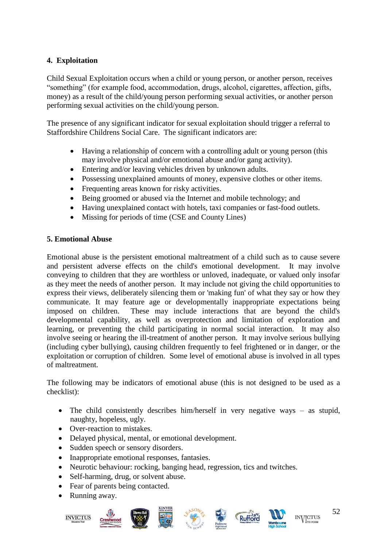## **4. Exploitation**

Child Sexual Exploitation occurs when a child or young person, or another person, receives "something" (for example food, accommodation, drugs, alcohol, cigarettes, affection, gifts, money) as a result of the child/young person performing sexual activities, or another person performing sexual activities on the child/young person.

The presence of any significant indicator for sexual exploitation should trigger a referral to Staffordshire Childrens Social Care. The significant indicators are:

- Having a relationship of concern with a controlling adult or young person (this may involve physical and/or emotional abuse and/or gang activity).
- Entering and/or leaving vehicles driven by unknown adults.
- Possessing unexplained amounts of money, expensive clothes or other items.
- Frequenting areas known for risky activities.
- Being groomed or abused via the Internet and mobile technology; and
- Having unexplained contact with hotels, taxi companies or fast-food outlets.
- Missing for periods of time (CSE and County Lines)

#### **5. Emotional Abuse**

Emotional abuse is the persistent emotional maltreatment of a child such as to cause severe and persistent adverse effects on the child's emotional development. It may involve conveying to children that they are worthless or unloved, inadequate, or valued only insofar as they meet the needs of another person. It may include not giving the child opportunities to express their views, deliberately silencing them or 'making fun' of what they say or how they communicate. It may feature age or developmentally inappropriate expectations being imposed on children. These may include interactions that are beyond the child's developmental capability, as well as overprotection and limitation of exploration and learning, or preventing the child participating in normal social interaction. It may also involve seeing or hearing the ill-treatment of another person. It may involve serious bullying (including cyber bullying)*,* causing children frequently to feel frightened or in danger, or the exploitation or corruption of children. Some level of emotional abuse is involved in all types of maltreatment.

The following may be indicators of emotional abuse (this is not designed to be used as a checklist):

- The child consistently describes him/herself in very negative ways as stupid, naughty, hopeless, ugly.
- Over-reaction to mistakes.
- Delayed physical, mental, or emotional development.
- Sudden speech or sensory disorders.
- Inappropriate emotional responses, fantasies.
- Neurotic behaviour: rocking, banging head, regression, tics and twitches.
- Self-harming, drug, or solvent abuse.
- Fear of parents being contacted.
- Running away.

![](_page_51_Picture_22.jpeg)

![](_page_51_Picture_23.jpeg)

![](_page_51_Picture_24.jpeg)

![](_page_51_Picture_25.jpeg)

![](_page_51_Picture_26.jpeg)

![](_page_51_Picture_27.jpeg)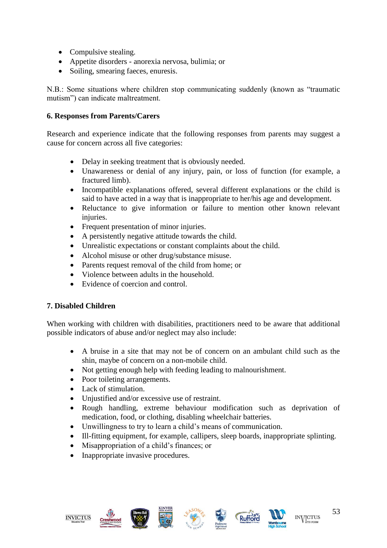- Compulsive stealing.
- Appetite disorders anorexia nervosa, bulimia; or
- Soiling, smearing faeces, enuresis.

N.B.: Some situations where children stop communicating suddenly (known as "traumatic mutism") can indicate maltreatment.

#### **6. Responses from Parents/Carers**

Research and experience indicate that the following responses from parents may suggest a cause for concern across all five categories:

- Delay in seeking treatment that is obviously needed.
- Unawareness or denial of any injury, pain, or loss of function (for example, a fractured limb).
- Incompatible explanations offered, several different explanations or the child is said to have acted in a way that is inappropriate to her/his age and development.
- Reluctance to give information or failure to mention other known relevant injuries.
- Frequent presentation of minor injuries.
- A persistently negative attitude towards the child.
- Unrealistic expectations or constant complaints about the child.
- Alcohol misuse or other drug/substance misuse.
- Parents request removal of the child from home; or
- Violence between adults in the household.
- Evidence of coercion and control

#### **7. Disabled Children**

When working with children with disabilities, practitioners need to be aware that additional possible indicators of abuse and/or neglect may also include:

- A bruise in a site that may not be of concern on an ambulant child such as the shin, maybe of concern on a non-mobile child.
- Not getting enough help with feeding leading to malnourishment.
- Poor toileting arrangements.
- Lack of stimulation.
- Uniustified and/or excessive use of restraint.
- Rough handling, extreme behaviour modification such as deprivation of medication, food, or clothing, disabling wheelchair batteries.
- Unwillingness to try to learn a child's means of communication.
- Ill-fitting equipment, for example, callipers, sleep boards, inappropriate splinting.
- Misappropriation of a child's finances; or
- Inappropriate invasive procedures.

![](_page_52_Picture_29.jpeg)

![](_page_52_Picture_30.jpeg)

![](_page_52_Picture_31.jpeg)

![](_page_52_Picture_32.jpeg)

![](_page_52_Picture_33.jpeg)

![](_page_52_Picture_34.jpeg)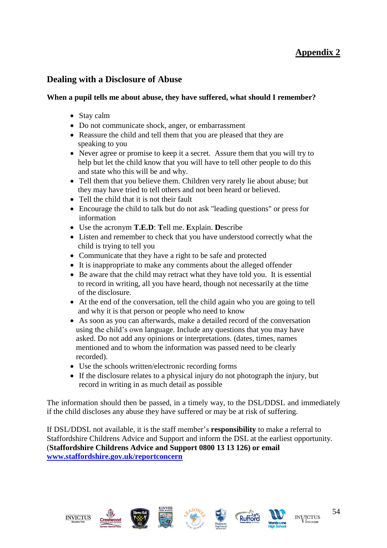# **Appendix 2**

## <span id="page-53-0"></span>**Dealing with a Disclosure of Abuse**

#### **When a pupil tells me about abuse, they have suffered, what should I remember?**

- Stay calm
- Do not communicate shock, anger, or embarrassment
- Reassure the child and tell them that you are pleased that they are speaking to you
- Never agree or promise to keep it a secret. Assure them that you will try to help but let the child know that you will have to tell other people to do this and state who this will be and why.
- Tell them that you believe them. Children very rarely lie about abuse; but they may have tried to tell others and not been heard or believed.
- Tell the child that it is not their fault
- Encourage the child to talk but do not ask "leading questions" or press for information
- Use the acronym **T.E.D**: **T**ell me. **E**xplain. **D**escribe
- Listen and remember to check that you have understood correctly what the child is trying to tell you
- Communicate that they have a right to be safe and protected
- It is inappropriate to make any comments about the alleged offender
- Be aware that the child may retract what they have told you. It is essential to record in writing, all you have heard, though not necessarily at the time of the disclosure.
- At the end of the conversation, tell the child again who you are going to tell and why it is that person or people who need to know
- As soon as you can afterwards, make a detailed record of the conversation using the child's own language. Include any questions that you may have asked. Do not add any opinions or interpretations. (dates, times, names mentioned and to whom the information was passed need to be clearly recorded).
- Use the schools written/electronic recording forms
- If the disclosure relates to a physical injury do not photograph the injury, but record in writing in as much detail as possible

The information should then be passed, in a timely way, to the DSL/DDSL and immediately if the child discloses any abuse they have suffered or may be at risk of suffering.

If DSL/DDSL not available, it is the staff member's **responsibility** to make a referral to Staffordshire Childrens Advice and Support and inform the DSL at the earliest opportunity. (**Staffordshire Childrens Advice and Support 0800 13 13 126) or email [www.staffordshire.gov.uk/reportconcern](http://www.staffordshire.gov.uk/reportconcern)**

![](_page_53_Picture_21.jpeg)

![](_page_53_Picture_22.jpeg)

![](_page_53_Picture_23.jpeg)

![](_page_53_Picture_24.jpeg)

![](_page_53_Picture_25.jpeg)

![](_page_53_Picture_26.jpeg)

![](_page_53_Picture_27.jpeg)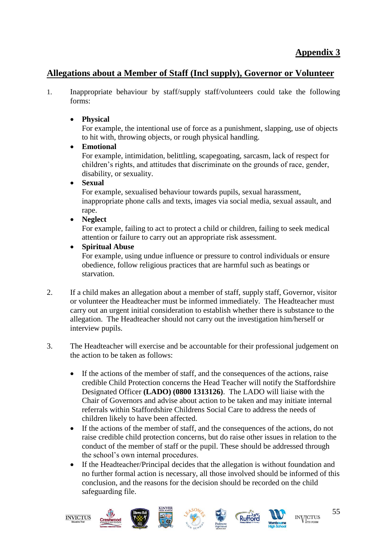# <span id="page-54-0"></span>**Allegations about a Member of Staff (Incl supply), Governor or Volunteer**

- 1. Inappropriate behaviour by staff/supply staff/volunteers could take the following forms:
	- **Physical**

For example, the intentional use of force as a punishment, slapping, use of objects to hit with, throwing objects, or rough physical handling.

• **Emotional**

For example, intimidation, belittling, scapegoating, sarcasm, lack of respect for children's rights, and attitudes that discriminate on the grounds of race, gender, disability, or sexuality.

## • **Sexual**

For example, sexualised behaviour towards pupils, sexual harassment, inappropriate phone calls and texts, images via social media, sexual assault, and rape.

• **Neglect**

For example, failing to act to protect a child or children, failing to seek medical attention or failure to carry out an appropriate risk assessment.

• **Spiritual Abuse**

For example, using undue influence or pressure to control individuals or ensure obedience, follow religious practices that are harmful such as beatings or starvation.

- 2. If a child makes an allegation about a member of staff, supply staff, Governor, visitor or volunteer the Headteacher must be informed immediately. The Headteacher must carry out an urgent initial consideration to establish whether there is substance to the allegation. The Headteacher should not carry out the investigation him/herself or interview pupils.
- 3. The Headteacher will exercise and be accountable for their professional judgement on the action to be taken as follows:
	- If the actions of the member of staff, and the consequences of the actions, raise credible Child Protection concerns the Head Teacher will notify the Staffordshire Designated Officer **(LADO) (0800 1313126)**. The LADO will liaise with the Chair of Governors and advise about action to be taken and may initiate internal referrals within Staffordshire Childrens Social Care to address the needs of children likely to have been affected.
	- If the actions of the member of staff, and the consequences of the actions, do not raise credible child protection concerns, but do raise other issues in relation to the conduct of the member of staff or the pupil. These should be addressed through the school's own internal procedures.
	- If the Headteacher/Principal decides that the allegation is without foundation and no further formal action is necessary, all those involved should be informed of this conclusion, and the reasons for the decision should be recorded on the child safeguarding file.

![](_page_54_Picture_18.jpeg)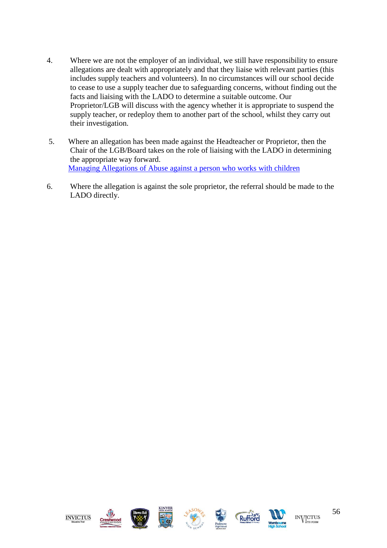- 4. Where we are not the employer of an individual, we still have responsibility to ensure allegations are dealt with appropriately and that they liaise with relevant parties (this includes supply teachers and volunteers). In no circumstances will our school decide to cease to use a supply teacher due to safeguarding concerns, without finding out the facts and liaising with the LADO to determine a suitable outcome. Our Proprietor/LGB will discuss with the agency whether it is appropriate to suspend the supply teacher, or redeploy them to another part of the school, whilst they carry out their investigation.
- 5. Where an allegation has been made against the Headteacher or Proprietor, then the Chair of the LGB/Board takes on the role of liaising with the LADO in determining the appropriate way forward. [Managing Allegations of Abuse against a person who works with children](https://www.staffsscb.org.uk/wp-content/uploads/2020/09/Allegations-of-abuse-made-against-a-person-who-works-with-children.pdf)
- 6. Where the allegation is against the sole proprietor, the referral should be made to the LADO directly.

![](_page_55_Picture_3.jpeg)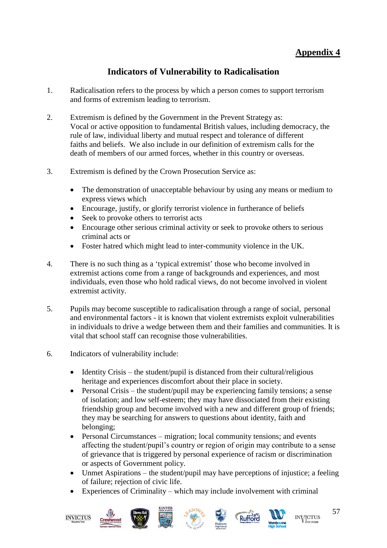# **Appendix 4**

# **Indicators of Vulnerability to Radicalisation**

- <span id="page-56-0"></span>1. Radicalisation refers to the process by which a person comes to support terrorism and forms of extremism leading to terrorism.
- 2. Extremism is defined by the Government in the Prevent Strategy as: Vocal or active opposition to fundamental British values, including democracy, the rule of law, individual liberty and mutual respect and tolerance of different faiths and beliefs. We also include in our definition of extremism calls for the death of members of our armed forces, whether in this country or overseas.
- 3. Extremism is defined by the Crown Prosecution Service as:
	- The demonstration of unacceptable behaviour by using any means or medium to express views which
	- Encourage, justify, or glorify terrorist violence in furtherance of beliefs
	- Seek to provoke others to terrorist acts
	- Encourage other serious criminal activity or seek to provoke others to serious criminal acts or
	- Foster hatred which might lead to inter-community violence in the UK.
- 4. There is no such thing as a 'typical extremist' those who become involved in extremist actions come from a range of backgrounds and experiences, and most individuals, even those who hold radical views, do not become involved in violent extremist activity.
- 5. Pupils may become susceptible to radicalisation through a range of social, personal and environmental factors - it is known that violent extremists exploit vulnerabilities in individuals to drive a wedge between them and their families and communities. It is vital that school staff can recognise those vulnerabilities.
- 6. Indicators of vulnerability include:
	- Identity Crisis the student/pupil is distanced from their cultural/religious heritage and experiences discomfort about their place in society.
	- Personal Crisis the student/pupil may be experiencing family tensions; a sense of isolation; and low self-esteem; they may have dissociated from their existing friendship group and become involved with a new and different group of friends; they may be searching for answers to questions about identity, faith and belonging;
	- Personal Circumstances migration; local community tensions; and events affecting the student/pupil's country or region of origin may contribute to a sense of grievance that is triggered by personal experience of racism or discrimination or aspects of Government policy.
	- Unmet Aspirations the student/pupil may have perceptions of injustice; a feeling of failure; rejection of civic life.
	- Experiences of Criminality which may include involvement with criminal

![](_page_56_Picture_18.jpeg)

![](_page_56_Picture_19.jpeg)

![](_page_56_Picture_20.jpeg)

![](_page_56_Picture_21.jpeg)

![](_page_56_Picture_22.jpeg)

![](_page_56_Picture_23.jpeg)

![](_page_56_Picture_24.jpeg)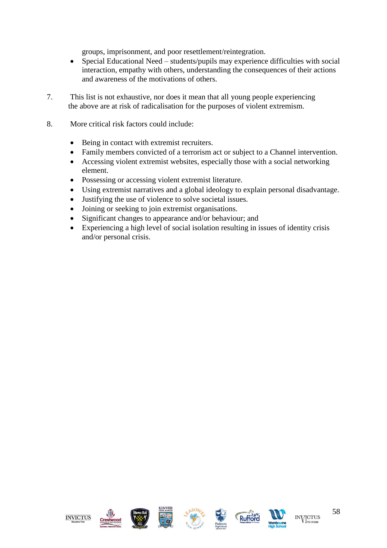groups, imprisonment, and poor resettlement/reintegration.

- Special Educational Need students/pupils may experience difficulties with social interaction, empathy with others, understanding the consequences of their actions and awareness of the motivations of others.
- 7. This list is not exhaustive, nor does it mean that all young people experiencing the above are at risk of radicalisation for the purposes of violent extremism.
- 8. More critical risk factors could include:
	- Being in contact with extremist recruiters.
	- Family members convicted of a terrorism act or subject to a Channel intervention.
	- Accessing violent extremist websites, especially those with a social networking element.
	- Possessing or accessing violent extremist literature.
	- Using extremist narratives and a global ideology to explain personal disadvantage.
	- Justifying the use of violence to solve societal issues.
	- Joining or seeking to join extremist organisations.
	- Significant changes to appearance and/or behaviour; and
	- Experiencing a high level of social isolation resulting in issues of identity crisis and/or personal crisis.

![](_page_57_Picture_13.jpeg)

![](_page_57_Picture_14.jpeg)

![](_page_57_Picture_15.jpeg)

![](_page_57_Picture_16.jpeg)

![](_page_57_Picture_17.jpeg)

![](_page_57_Picture_18.jpeg)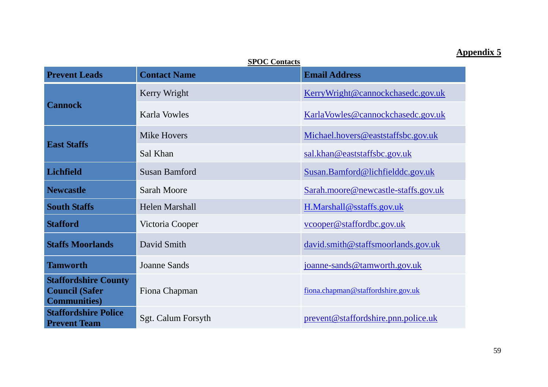## **Appendix 5**

<span id="page-58-0"></span>**SPOC Contacts Prevent Leads** Contact Name **Email Address Cannock**  Kerry Wright KerryWright & Cannockchasedc.gov.uk Karla Vowles Karla Vowles Karla Vowles & Cannockchasedc.gov.uk **East Staffs** Mike Hovers Michael.hovers@eaststaffsbc.gov.uk Sal Khan sal.khan @eaststaffsbc.gov.uk **Lichfield** Susan Bamford Susan.Bamford@lichfielddc.gov.uk **Newcastle Sarah Moore** Sarah **Sarah.moore@newcastle-staffs.gov.uk South Staffs** Helen Marshall H.Marshall@sstaffs.gov.uk **Stafford** Victoria Cooper vcooper vcooper **vcooper** vcooper vcooper vcooper vcooper vcooper vcooper vcooper vcooper vcooper vcooper vcooper vcooper vcooper vcooper vcooper vcooper vcooper vcooper vcooper vcooper vcooper v **Staffs Moorlands** David Smith David Smith david.smith@staffsmoorlands.gov.uk **Tamworth** Joanne Sands Joanne-sands @tamworth.gov.uk **Staffordshire County Council (Safer Communities)** Fiona Chapman fiona.chapman @staffordshire.gov.uk **Staffordshire Police Prevent Team** Sgt. Calum Forsyth prevent @staffordshire.pnn.police.uk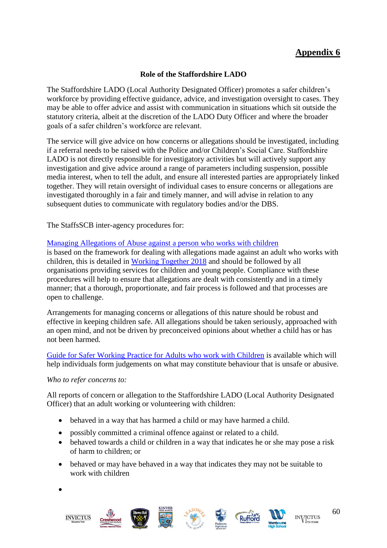# **Appendix 6**

#### **Role of the Staffordshire LADO**

<span id="page-59-0"></span>The Staffordshire LADO (Local Authority Designated Officer) promotes a safer children's workforce by providing effective guidance, advice, and investigation oversight to cases. They may be able to offer advice and assist with communication in situations which sit outside the statutory criteria, albeit at the discretion of the LADO Duty Officer and where the broader goals of a safer children's workforce are relevant.

The service will give advice on how concerns or allegations should be investigated, including if a referral needs to be raised with the Police and/or Children's Social Care. Staffordshire LADO is not directly responsible for investigatory activities but will actively support any investigation and give advice around a range of parameters including suspension, possible media interest, when to tell the adult, and ensure all interested parties are appropriately linked together. They will retain oversight of individual cases to ensure concerns or allegations are investigated thoroughly in a fair and timely manner, and will advise in relation to any subsequent duties to communicate with regulatory bodies and/or the DBS.

The StaffsSCB inter-agency procedures for:

#### [Managing Allegations of Abuse against a person who works with children](https://www.staffsscb.org.uk/wp-content/uploads/2020/09/Allegations-of-abuse-made-against-a-person-who-works-with-children.pdf)

is based on the framework for dealing with allegations made against an adult who works with children, this is detailed in [Working Together 2018](https://www.gov.uk/government/publications/working-together-to-safeguard-children--2) and should be followed by all organisations providing services for children and young people. Compliance with these procedures will help to ensure that allegations are dealt with consistently and in a timely manner; that a thorough, proportionate, and fair process is followed and that processes are open to challenge.

Arrangements for managing concerns or allegations of this nature should be robust and effective in keeping children safe. All allegations should be taken seriously, approached with an open mind, and not be driven by preconceived opinions about whether a child has or has not been harmed.

[Guide for Safer Working Practice for Adults who work with Children](https://www.ssscb.org.uk/working-together-to-safeguard-children/) is available which will help individuals form judgements on what may constitute behaviour that is unsafe or abusive.

#### *Who to refer concerns to:*

All reports of concern or allegation to the Staffordshire LADO (Local Authority Designated Officer) that an adult working or volunteering with children:

- behaved in a way that has harmed a child or may have harmed a child.
- possibly committed a criminal offence against or related to a child.
- behaved towards a child or children in a way that indicates he or she may pose a risk of harm to children; or
- behaved or may have behaved in a way that indicates they may not be suitable to work with children

•

![](_page_59_Picture_16.jpeg)

![](_page_59_Picture_17.jpeg)

![](_page_59_Picture_18.jpeg)

![](_page_59_Picture_19.jpeg)

![](_page_59_Picture_20.jpeg)

![](_page_59_Picture_21.jpeg)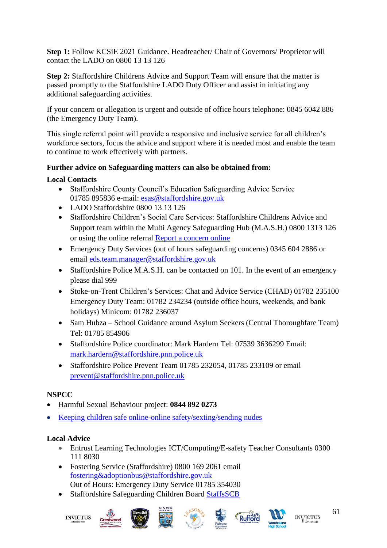**Step 1:** Follow KCSiE 2021 Guidance. Headteacher/ Chair of Governors/ Proprietor will contact the LADO on 0800 13 13 126

**Step 2:** Staffordshire Childrens Advice and Support Team will ensure that the matter is passed promptly to the Staffordshire LADO Duty Officer and assist in initiating any additional safeguarding activities.

If your concern or allegation is urgent and outside of office hours telephone: 0845 6042 886 (the Emergency Duty Team).

This single referral point will provide a responsive and inclusive service for all children's workforce sectors, focus the advice and support where it is needed most and enable the team to continue to work effectively with partners.

## **Further advice on Safeguarding matters can also be obtained from:**

#### **Local Contacts**

- Staffordshire County Council's Education Safeguarding Advice Service 01785 895836 e-mail: [esas@staffordshire.gov.uk](mailto:esas@staffordshire.gov.uk)
- LADO Staffordshire 0800 13 13 126
- Staffordshire Children's Social Care Services: Staffordshire Childrens Advice and Support team within the Multi Agency Safeguarding Hub (M.A.S.H.) 0800 1313 126 or using the online referral [Report a concern online](https://www.staffordshire.gov.uk/Care-for-children-and-families/Childprotection/Report-a-concern-online.aspx)
- Emergency Duty Services (out of hours safeguarding concerns) 0345 604 2886 or email [eds.team.manager@staffordshire.gov.uk](mailto:eds.team.manager@staffordshire.gov.uk)
- Staffordshire Police M.A.S.H. can be contacted on 101. In the event of an emergency please dial 999
- Stoke-on-Trent Children's Services: Chat and Advice Service (CHAD) 01782 235100 Emergency Duty Team: 01782 234234 (outside office hours, weekends, and bank holidays) Minicom: 01782 236037
- Sam Hubza School Guidance around Asylum Seekers (Central Thoroughfare Team) Tel: 01785 854906
- Staffordshire Police coordinator: Mark Hardern Tel: 07539 3636299 Email: [mark.hardern@staffordshire.pnn.police.uk](mailto:mark.hardern@staffordshire.pnn.police.uk)
- Staffordshire Police Prevent Team 01785 232054, 01785 233109 or email [prevent@staffordshire.pnn.police.uk](mailto:prevent@staffordshire.pnn.police.uk)

## **NSPCC**

- Harmful Sexual Behaviour project: **0844 892 0273**
- [Keeping children safe online-online safety/sexting/sending nudes](https://www.nspcc.org.uk/keeping-children-safe/online-safety/sexting-sending-nudes/)

## **Local Advice**

- Entrust Learning Technologies ICT/Computing/E-safety Teacher Consultants 0300 111 8030
- Fostering Service (Staffordshire) 0800 169 2061 email [fostering&adoptionbus@staffordshire.gov.uk](mailto:fostering&adoptionbus@staffordshire.gov.uk) Out of Hours: Emergency Duty Service 01785 354030
- Staffordshire Safeguarding Children Board [StaffsSCB](https://www.staffsscb.org.uk/)

![](_page_60_Picture_22.jpeg)

![](_page_60_Picture_23.jpeg)

![](_page_60_Picture_24.jpeg)

![](_page_60_Picture_25.jpeg)

![](_page_60_Picture_26.jpeg)

![](_page_60_Picture_27.jpeg)

![](_page_60_Picture_28.jpeg)

**INVICTUS**